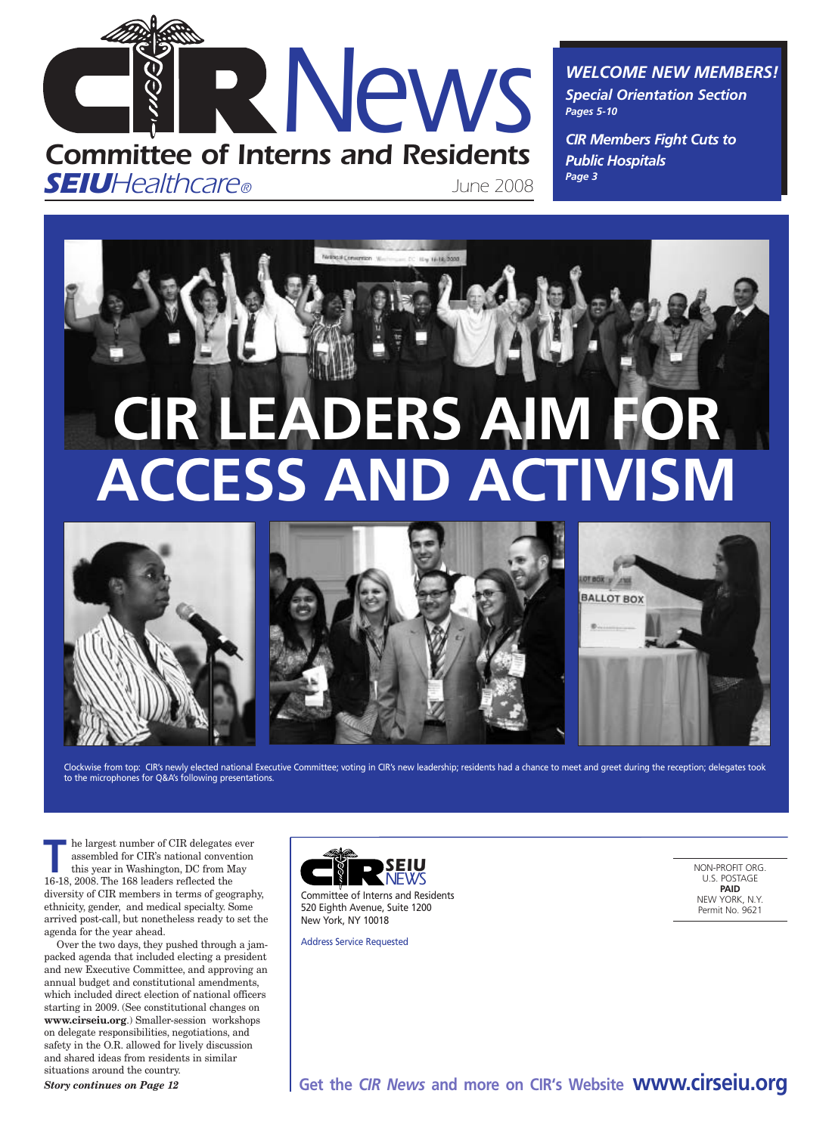

*WELCOME NEW MEMBERS! Special Orientation Section*

*CIR Members Fight Cuts to Public Hospitals Page 3*

*Pages 5-10*

**BALLOT BOX** 



# **CIR LEADERS AIM FOR ACCESS AND ACTIVISM**



Clockwise from top: CIR's newly elected national Executive Committee; voting in CIR's new leadership; residents had a chance to meet and greet during the reception; delegates took to the microphones for Q&A's following presentations.

**The largest number of CIR delegates ever**<br>assembled for CIR's national convention<br>this year in Washington, DC from May<br>16.18.2008. The 168 looders reflected the assembled for CIR's national convention this year in Washington, DC from May 16-18, 2008. The 168 leaders reflected the diversity of CIR members in terms of geography, ethnicity, gender, and medical specialty. Some arrived post-call, but nonetheless ready to set the agenda for the year ahead.

Over the two days, they pushed through a jampacked agenda that included electing a president and new Executive Committee, and approving an annual budget and constitutional amendments, which included direct election of national officers starting in 2009. (See constitutional changes on **www.cirseiu.org**.) Smaller-session workshops on delegate responsibilities, negotiations, and safety in the O.R. allowed for lively discussion and shared ideas from residents in similar situations around the country.

*Story continues on Page 12*



Committee of Interns and Residents 520 Eighth Avenue, Suite 1200 New York, NY 10018

Address Service Requested

NON-PROFIT ORG. U.S. POSTAGE **PAID** NEW YORK, N.Y. Permit No. 9621

**Get the** *CIR News* **and more on CIR's Website www.cirseiu.org**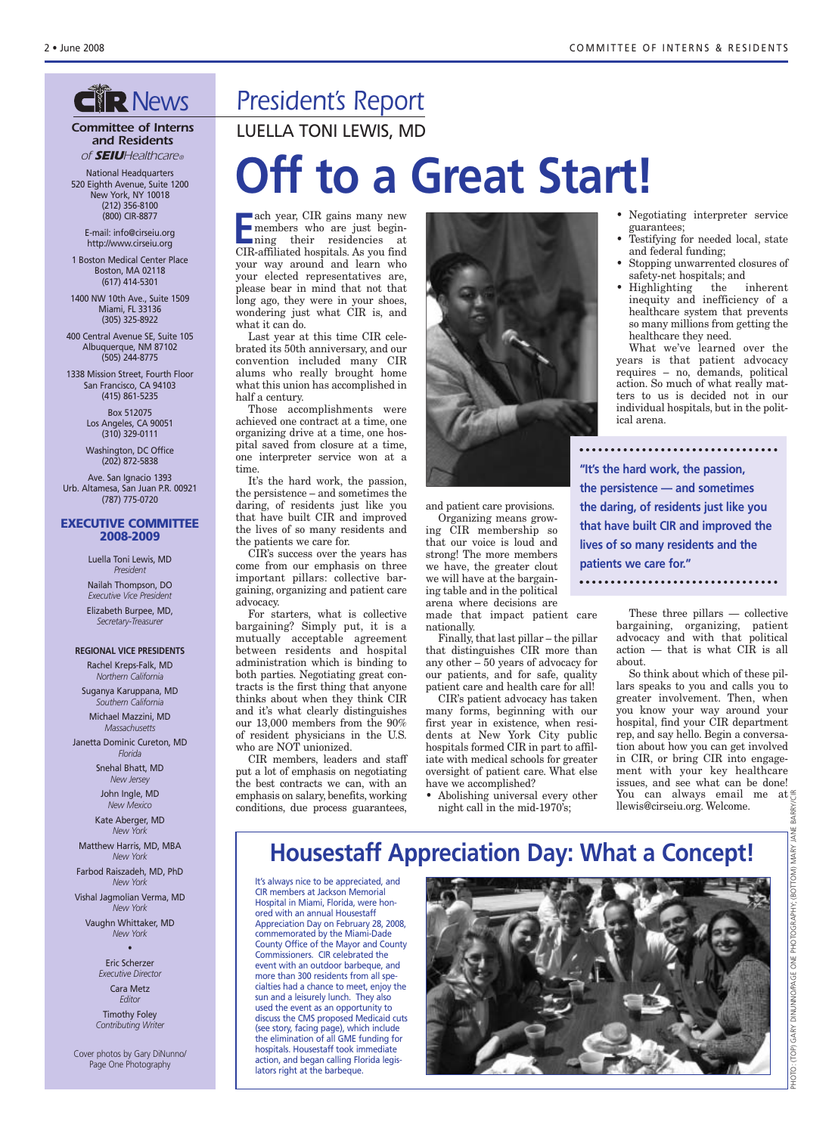## **CIP News**

#### *Committee of Interns and Residents of SEIUHealthcare®*

National Headquarters 520 Eighth Avenue, Suite 1200 New York, NY 10018 (212) 356-8100 (800) CIR-8877

E-mail: info@cirseiu.org http://www.cirseiu.org

1 Boston Medical Center Place Boston, MA 02118 (617) 414-5301

1400 NW 10th Ave., Suite 1509 Miami, FL 33136 (305) 325-8922

400 Central Avenue SE, Suite 105 Albuquerque, NM 87102 (505) 244-8775

1338 Mission Street, Fourth Floor San Francisco, CA 94103 (415) 861-5235

> Box 512075 Los Angeles, CA 90051 (310) 329-0111

Washington, DC Office (202) 872-5838

Ave. San Ignacio 1393 Urb. Altamesa, San Juan P.R. 00921 (787) 775-0720

#### **EXECUTIVE COMMITTEE 2008-2009**

Luella Toni Lewis, MD *President*

Nailah Thompson, DO *Executive Vice President* Elizabeth Burpee, MD, *Secretary-Treasurer*

#### **REGIONAL VICE PRESIDENTS**

Rachel Kreps-Falk, MD *Northern California*

Suganya Karuppana, MD *Southern California*

Michael Mazzini, MD *Massachusetts*

Janetta Dominic Cureton, MD *Florida*

> Snehal Bhatt, MD *New Jersey*

John Ingle, MD *New Mexico*

Kate Aberger, MD *New York*

Matthew Harris, MD, MBA *New York*

Farbod Raiszadeh, MD, PhD *New York*

Vishal Jagmolian Verma, MD *New York* Vaughn Whittaker, MD

*New York* •

> Eric Scherzer *Executive Director* Cara Metz *Editor* Timothy Foley

*Contributing Writer*

Cover photos by Gary DiNunno/ Page One Photography

## *President's Report*

LUELLA TONI LEWIS, MD

# **Off to a Great Start!**

**E** ach year, CIR gains many new members who are just beginning their residencies at CIR-affiliated hospitals. As you find your way around and learn who your elected representatives are, please bear in mind that not that long ago, they were in your shoes, wondering just what CIR is, and what it can do.

Last year at this time CIR celebrated its 50th anniversary, and our convention included many CIR alums who really brought home what this union has accomplished in half a century.

Those accomplishments were achieved one contract at a time, one organizing drive at a time, one hospital saved from closure at a time, one interpreter service won at a time.

It's the hard work, the passion, the persistence – and sometimes the daring, of residents just like you that have built CIR and improved the lives of so many residents and the patients we care for.

CIR's success over the years has come from our emphasis on three important pillars: collective bargaining, organizing and patient care advocacy.

For starters, what is collective bargaining? Simply put, it is a mutually acceptable agreement between residents and hospital administration which is binding to both parties. Negotiating great contracts is the first thing that anyone thinks about when they think CIR and it's what clearly distinguishes our 13,000 members from the 90% of resident physicians in the U.S. who are NOT unionized.

CIR members, leaders and staff put a lot of emphasis on negotiating the best contracts we can, with an emphasis on salary, benefits, working conditions, due process guarantees,



and patient care provisions.

Organizing means growing CIR membership so that our voice is loud and strong! The more members we have, the greater clout we will have at the bargaining table and in the political arena where decisions are

made that impact patient care nationally.

Finally, that last pillar – the pillar that distinguishes CIR more than any other – 50 years of advocacy for our patients, and for safe, quality patient care and health care for all!

CIR's patient advocacy has taken many forms, beginning with our first year in existence, when residents at New York City public hospitals formed CIR in part to affiliate with medical schools for greater oversight of patient care. What else have we accomplished?

• Abolishing universal every other night call in the mid-1970's;

- Negotiating interpreter service guarantees;
- Testifying for needed local, state and federal funding;
- Stopping unwarrented closures of safety-net hospitals; and
- Highlighting the inherent inequity and inefficiency of a healthcare system that prevents so many millions from getting the healthcare they need.

What we've learned over the years is that patient advocacy requires – no, demands, political action. So much of what really matters to us is decided not in our individual hospitals, but in the political arena.

**"It's the hard work, the passion, the persistence — and sometimes the daring, of residents just like you that have built CIR and improved the lives of so many residents and the patients we care for."** 

> These three pillars — collective bargaining, organizing, patient advocacy and with that political action — that is what CIR is all about.

So think about which of these pillars speaks to you and calls you to greater involvement. Then, when you know your way around your hospital, find your CIR department rep, and say hello. Begin a conversation about how you can get involved in CIR, or bring CIR into engagement with your key healthcare issues, and see what can be done! You can always email me at llewis@cirseiu.org. Welcome.

## **Housestaff Appreciation Day: What a Concept!**

It's always nice to be appreciated, and CIR members at Jackson Memorial Hospital in Miami, Florida, were honored with an annual Housestaff Appreciation Day on February 28, 2008, commemorated by the Miami-Dade County Office of the Mayor and County Commissioners. CIR celebrated the event with an outdoor barbeque, and more than 300 residents from all specialties had a chance to meet, enjoy the sun and a leisurely lunch. They also used the event as an opportunity to discuss the CMS proposed Medicaid cuts (see story, facing page), which include the elimination of all GME funding for hospitals. Housestaff took immediate action, and began calling Florida legislators right at the barbeque.

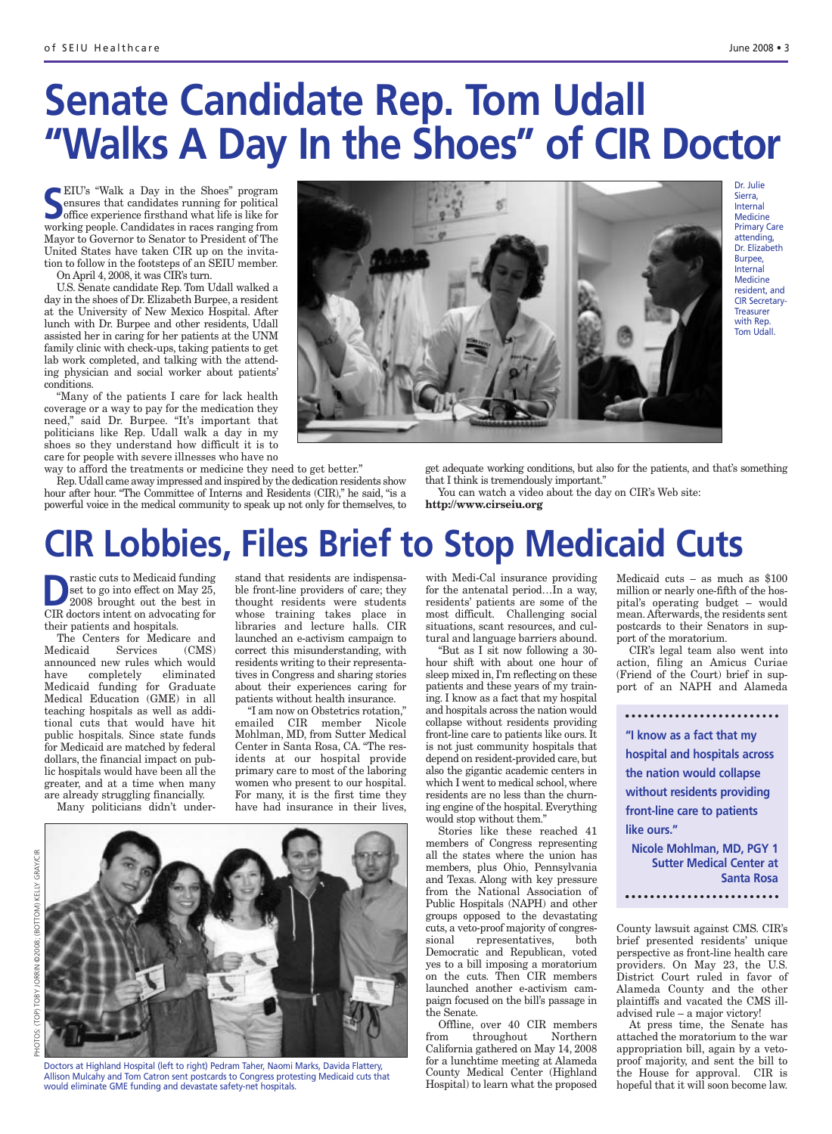# **Senate Candidate Rep. Tom Udall "Walks A Day In the Shoes" of CIR Doctor**

**SEIU's "Walk a Day in the Shoes" program**<br> **S** ensures that candidates running for political<br>
office experience firsthand what life is like for<br>
working poople Candidates in recess repring from ensures that candidates running for political office experience firsthand what life is like for working people. Candidates in races ranging from Mayor to Governor to Senator to President of The United States have taken CIR up on the invitation to follow in the footsteps of an SEIU member.

On April 4, 2008, it was CIR's turn.

U.S. Senate candidate Rep. Tom Udall walked a day in the shoes of Dr. Elizabeth Burpee, a resident at the University of New Mexico Hospital. After lunch with Dr. Burpee and other residents, Udall assisted her in caring for her patients at the UNM family clinic with check-ups, taking patients to get lab work completed, and talking with the attending physician and social worker about patients' conditions.

"Many of the patients I care for lack health coverage or a way to pay for the medication they need," said Dr. Burpee. "It's important that politicians like Rep. Udall walk a day in my shoes so they understand how difficult it is to care for people with severe illnesses who have no

way to afford the treatments or medicine they need to get better." Rep.Udall came away impressed and inspired by the dedication residents show hour after hour. "The Committee of Interns and Residents (CIR)," he said, "is a powerful voice in the medical community to speak up not only for themselves, to get adequate working conditions, but also for the patients, and that's something that I think is tremendously important."

You can watch a video about the day on CIR's Web site: **http://www.cirseiu.org**

# **CIR Lobbies, Files Brief to Stop Medicaid Cuts**

**D**rastic cuts to Medicaid funding<br>
set to go into effect on May 25,<br>
2008 brought out the best in set to go into effect on May 25, CIR doctors intent on advocating for their patients and hospitals.

The Centers for Medicare and Medicaid Services (CMS) announced new rules which would have completely eliminated Medicaid funding for Graduate Medical Education (GME) in all teaching hospitals as well as additional cuts that would have hit public hospitals. Since state funds for Medicaid are matched by federal dollars, the financial impact on public hospitals would have been all the greater, and at a time when many are already struggling financially.

Many politicians didn't under-

stand that residents are indispensable front-line providers of care; they thought residents were students whose training takes place in libraries and lecture halls. CIR launched an e-activism campaign to correct this misunderstanding, with residents writing to their representatives in Congress and sharing stories about their experiences caring for patients without health insurance.

"I am now on Obstetrics rotation," emailed CIR member Nicole Mohlman, MD, from Sutter Medical Center in Santa Rosa, CA. "The residents at our hospital provide primary care to most of the laboring women who present to our hospital. For many, it is the first time they have had insurance in their lives,



Doctors at Highland Hospital (left to right) Pedram Taher, Naomi Marks, Davida Flattery, Allison Mulcahy and Tom Catron sent postcards to Congress protesting Medicaid cuts that would eliminate GME funding and devastate safety-net hospitals.

with Medi-Cal insurance providing for the antenatal period…In a way, residents' patients are some of the most difficult. Challenging social situations, scant resources, and cultural and language barriers abound. Medicaid cuts – as much as \$100 million or nearly one-fifth of the hospital's operating budget – would mean. Afterwards, the residents sent postcards to their Senators in support of the moratorium.

CIR's legal team also went into action, filing an Amicus Curiae (Friend of the Court) brief in support of an NAPH and Alameda

**"I know as a fact that my hospital and hospitals across the nation would collapse without residents providing front-line care to patients like ours." Nicole Mohlman, MD, PGY 1 Sutter Medical Center at Santa Rosa** 

County lawsuit against CMS. CIR's brief presented residents' unique perspective as front-line health care providers. On May 23, the U.S. District Court ruled in favor of Alameda County and the other plaintiffs and vacated the CMS illadvised rule – a major victory!

At press time, the Senate has attached the moratorium to the war appropriation bill, again by a vetoproof majority, and sent the bill to the House for approval. CIR is hopeful that it will soon become law.



"But as I sit now following a 30 hour shift with about one hour of sleep mixed in, I'm reflecting on these patients and these years of my training. I know as a fact that my hospital and hospitals across the nation would collapse without residents providing front-line care to patients like ours. It is not just community hospitals that depend on resident-provided care, but also the gigantic academic centers in which I went to medical school, where residents are no less than the churning engine of the hospital. Everything

would stop without them."

the Senate.

Stories like these reached 41 members of Congress representing all the states where the union has members, plus Ohio, Pennsylvania and Texas. Along with key pressure from the National Association of Public Hospitals (NAPH) and other groups opposed to the devastating cuts, a veto-proof majority of congressional representatives, both Democratic and Republican, voted yes to a bill imposing a moratorium on the cuts. Then CIR members launched another e-activism campaign focused on the bill's passage in

Offline, over 40 CIR members from throughout Northern California gathered on May 14, 2008 for a lunchtime meeting at Alameda County Medical Center (Highland Hospital) to learn what the proposed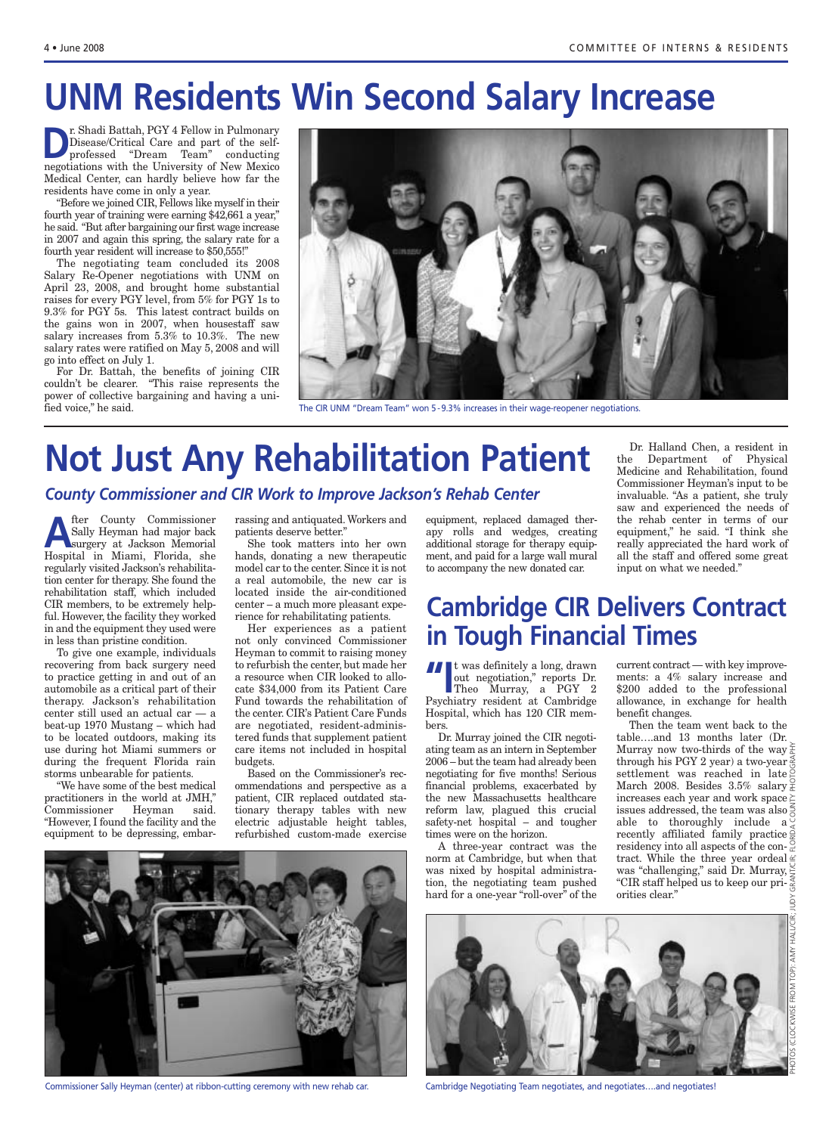# **UNM Residents Win Second Salary Increase**

**D**r. Shadi Battah, PGY 4 Fellow in Pulmonary<br>Disease/Critical Care and part of the self-<br>professed "Dream Team" conducting Disease/Critical Care and part of the selfprofessed "Dream Team" conducting negotiations with the University of New Mexico Medical Center, can hardly believe how far the residents have come in only a year.

"Before we joined CIR, Fellows like myself in their fourth year of training were earning \$42,661 a year," he said. "But after bargaining our first wage increase in 2007 and again this spring, the salary rate for a fourth year resident will increase to \$50,555!"

The negotiating team concluded its 2008 Salary Re-Opener negotiations with UNM on April 23, 2008, and brought home substantial raises for every PGY level, from 5% for PGY 1s to 9.3% for PGY 5s. This latest contract builds on the gains won in 2007, when housestaff saw salary increases from 5.3% to 10.3%. The new salary rates were ratified on May 5, 2008 and will go into effect on July 1.

For Dr. Battah, the benefits of joining CIR couldn't be clearer. "This raise represents the power of collective bargaining and having a unified voice," he said.



The CIR UNM "Dream Team" won 5 - 9.3% increases in their wage-reopener negotiations.

## **Not Just Any Rehabilitation Patient** *County Commissioner and CIR Work to Improve Jackson's Rehab Center*

**A** fter County Commissioner<br>
Sally Heyman had major back<br>
surgery at Jackson Memorial<br>
Hespital in Mismi Florida she Sally Heyman had major back Hospital in Miami, Florida, she regularly visited Jackson's rehabilitation center for therapy. She found the rehabilitation staff, which included CIR members, to be extremely helpful. However, the facility they worked in and the equipment they used were in less than pristine condition.

To give one example, individuals recovering from back surgery need to practice getting in and out of an automobile as a critical part of their therapy. Jackson's rehabilitation center still used an actual car — a beat-up 1970 Mustang – which had to be located outdoors, making its use during hot Miami summers or during the frequent Florida rain storms unbearable for patients.

"We have some of the best medical practitioners in the world at JMH," Commissioner Heyman said. "However, I found the facility and the equipment to be depressing, embarrassing and antiquated. Workers and patients deserve better."

She took matters into her own hands, donating a new therapeutic model car to the center. Since it is not a real automobile, the new car is located inside the air-conditioned center – a much more pleasant experience for rehabilitating patients.

Her experiences as a patient not only convinced Commissioner Heyman to commit to raising money to refurbish the center, but made her a resource when CIR looked to allocate \$34,000 from its Patient Care Fund towards the rehabilitation of the center. CIR's Patient Care Funds are negotiated, resident-administered funds that supplement patient care items not included in hospital budgets.

Based on the Commissioner's recommendations and perspective as a patient, CIR replaced outdated stationary therapy tables with new electric adjustable height tables, refurbished custom-made exercise



Commissioner Sally Heyman (center) at ribbon-cutting ceremony with new rehab car.

equipment, replaced damaged therapy rolls and wedges, creating additional storage for therapy equipment, and paid for a large wall mural to accompany the new donated car.

Dr. Halland Chen, a resident in the Department of Physical Medicine and Rehabilitation, found Commissioner Heyman's input to be invaluable. "As a patient, she truly saw and experienced the needs of the rehab center in terms of our equipment," he said. "I think she really appreciated the hard work of all the staff and offered some great input on what we needed."

### **Cambridge CIR Delivers Contract in Tough Financial Times**

**"I**<sup>t</sup> was definitely a long, drawn out negotiation," reports Dr.

Theo Murray, a PGY 2 Psychiatry resident at Cambridge Hospital, which has 120 CIR members.

Dr. Murray joined the CIR negotiating team as an intern in September 2006 – but the team had already been negotiating for five months! Serious financial problems, exacerbated by the new Massachusetts healthcare reform law, plagued this crucial safety-net hospital – and tougher times were on the horizon.

A three-year contract was the norm at Cambridge, but when that was nixed by hospital administration, the negotiating team pushed hard for a one-year "roll-over" of the

current contract — with key improvements: a 4% salary increase and \$200 added to the professional allowance, in exchange for health benefit changes.

Then the team went back to the table….and 13 months later (Dr. Murray now two-thirds of the way through his PGY 2 year) a two-year settlement was reached in late March 2008. Besides  $3.5\%$  salary  $\frac{9}{6}$ increases each year and work space  $\succeq$ issues addressed, the team was also  $\frac{5}{6}$ able to thoroughly include  $a^{\circ}$ recently affiliated family practice  $\frac{3}{5}$ residency into all aspects of the contract. While the three year ordeal  $\leq$ was "challenging," said Dr. Murray, "CIR staff helped us to keep our priorities clear."



Cambridge Negotiating Team negotiates, and negotiates….and negotiates!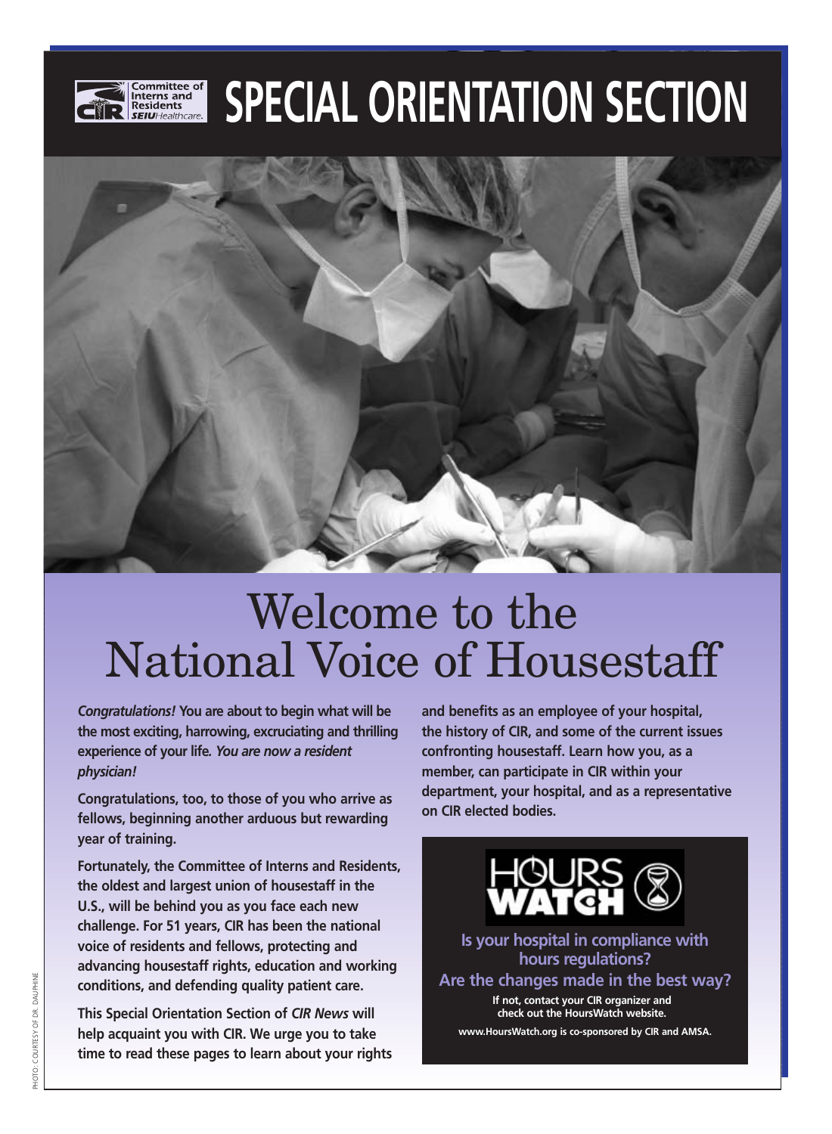

# **SPECIAL ORIENTATION SECTION**



# Welcome to the National Voice of Housestaff

*Congratulations!* **You are about to begin what will be the most exciting, harrowing, excruciating and thrilling experience of your life***. You are now a resident physician!* 

**Congratulations, too, to those of you who arrive as fellows, beginning another arduous but rewarding year of training.**

**Fortunately, the Committee of Interns and Residents, the oldest and largest union of housestaff in the U.S., will be behind you as you face each new challenge. For 51 years, CIR has been the national voice of residents and fellows, protecting and advancing housestaff rights, education and working conditions, and defending quality patient care.**

**This Special Orientation Section of** *CIR News* **will help acquaint you with CIR. We urge you to take time to read these pages to learn about your rights** **and benefits as an employee of your hospital, the history of CIR, and some of the current issues confronting housestaff. Learn how you, as a member, can participate in CIR within your department, your hospital, and as a representative on CIR elected bodies.**



**Is your hospital in compliance with hours regulations? Are the changes made in the best way?** 

**If not, contact your CIR organizer and check out the HoursWatch website.**

**www.HoursWatch.org is co-sponsored by CIR and AMSA.**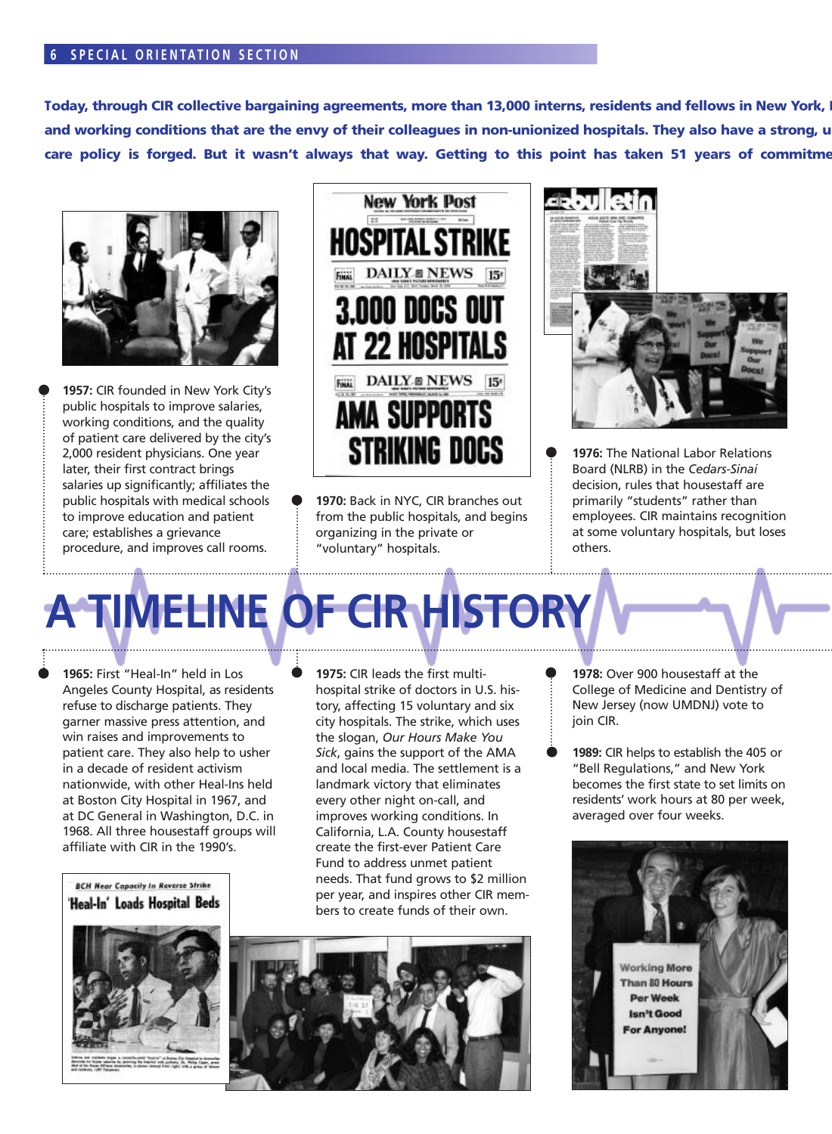#### **6 SPECIAL ORIENTATION SECTION**

Today, through CIR collective bargaining agreements, more than 13,000 interns, residents and fellows in New York, I and working conditions that are the envy of their colleagues in non-unionized hospitals. They also have a strong, u care policy is forged. But it wasn't always that way. Getting to this point has taken 51 years of commitme



**1957:** CIR founded in New York City's public hospitals to improve salaries, working conditions, and the quality of patient care delivered by the city's 2,000 resident physicians. One year later, their first contract brings salaries up significantly; affiliates the public hospitals with medical schools to improve education and patient care; establishes a grievance procedure, and improves call rooms.



**1970:** Back in NYC, CIR branches out from the public hospitals, and begins organizing in the private or "voluntary" hospitals.



**1976:** The National Labor Relations Board (NLRB) in the *Cedars-Sinai* decision, rules that housestaff are primarily "students" rather than employees. CIR maintains recognition at some voluntary hospitals, but loses others.

# **A TIMELINE OF CIR HISTORY**

**1965:** First "Heal-In" held in Los Angeles County Hospital, as residents refuse to discharge patients. They garner massive press attention, and win raises and improvements to patient care. They also help to usher in a decade of resident activism nationwide, with other Heal-Ins held at Boston City Hospital in 1967, and at DC General in Washington, D.C. in 1968. All three housestaff groups will affiliate with CIR in the 1990's.

**1975:** CIR leads the first multihospital strike of doctors in U.S. history, affecting 15 voluntary and six city hospitals. The strike, which uses the slogan, *Our Hours Make You Sick*, gains the support of the AMA and local media. The settlement is a landmark victory that eliminates every other night on-call, and improves working conditions. In California, L.A. County housestaff create the first-ever Patient Care Fund to address unmet patient needs. That fund grows to \$2 million per year, and inspires other CIR members to create funds of their own.

**BCH Near Capacity In Reverse Strike** 'Heal-In' Loads Hospital Beds



- **1978:** Over 900 housestaff at the College of Medicine and Dentistry of New Jersey (now UMDNJ) vote to join CIR.
- **1989:** CIR helps to establish the 405 or "Bell Regulations," and New York becomes the first state to set limits on residents' work hours at 80 per week, averaged over four weeks.

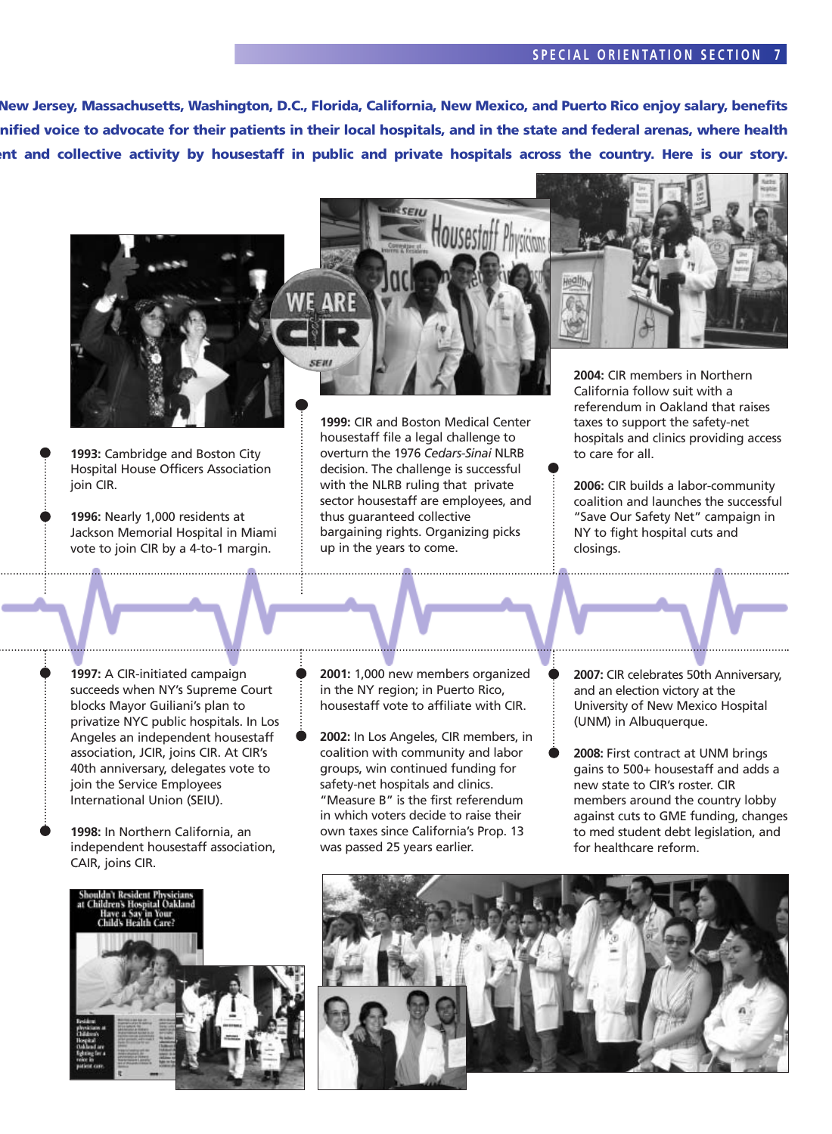#### **S PECIAL ORIENTATION SECTION 7**

**New Jersey, Massachusetts, Washington, D.C., Florida, California, New Mexico, and Puerto Rico enjoy salary, benefits unified voice to advocate for their patients in their local hospitals, and in the state and federal arenas, where health ment and collective activity by housestaff in public and private hospitals across the country. Here is our story.**



**1993:** Cambridge and Boston City Hospital House Officers Association join CIR.

**1996:** Nearly 1,000 residents at Jackson Memorial Hospital in Miami vote to join CIR by a 4-to-1 margin.

**1999:** CIR and Boston Medical Center housestaff file a legal challenge to overturn the 1976 *Cedars-Sinai* NLRB decision. The challenge is successful with the NLRB ruling that private sector housestaff are employees, and thus guaranteed collective bargaining rights. Organizing picks up in the years to come.



**2004:** CIR members in Northern California follow suit with a referendum in Oakland that raises taxes to support the safety-net hospitals and clinics providing access to care for all.

**2006:** CIR builds a labor-community coalition and launches the successful "Save Our Safety Net" campaign in NY to fight hospital cuts and closings.

**1997:** A CIR-initiated campaign succeeds when NY's Supreme Court blocks Mayor Guiliani's plan to privatize NYC public hospitals. In Los Angeles an independent housestaff association, JCIR, joins CIR. At CIR's 40th anniversary, delegates vote to join the Service Employees International Union (SEIU).

- **1998:** In Northern California, an independent housestaff association, CAIR, joins CIR.
- **2001:** 1,000 new members organized in the NY region; in Puerto Rico, housestaff vote to affiliate with CIR.
- **2002:** In Los Angeles, CIR members, in coalition with community and labor groups, win continued funding for safety-net hospitals and clinics. "Measure B" is the first referendum in which voters decide to raise their own taxes since California's Prop. 13 was passed 25 years earlier.
- **2007:** CIR celebrates 50th Anniversary, and an election victory at the University of New Mexico Hospital (UNM) in Albuquerque.
- **2008:** First contract at UNM brings gains to 500+ housestaff and adds a new state to CIR's roster. CIR members around the country lobby against cuts to GME funding, changes to med student debt legislation, and for healthcare reform.



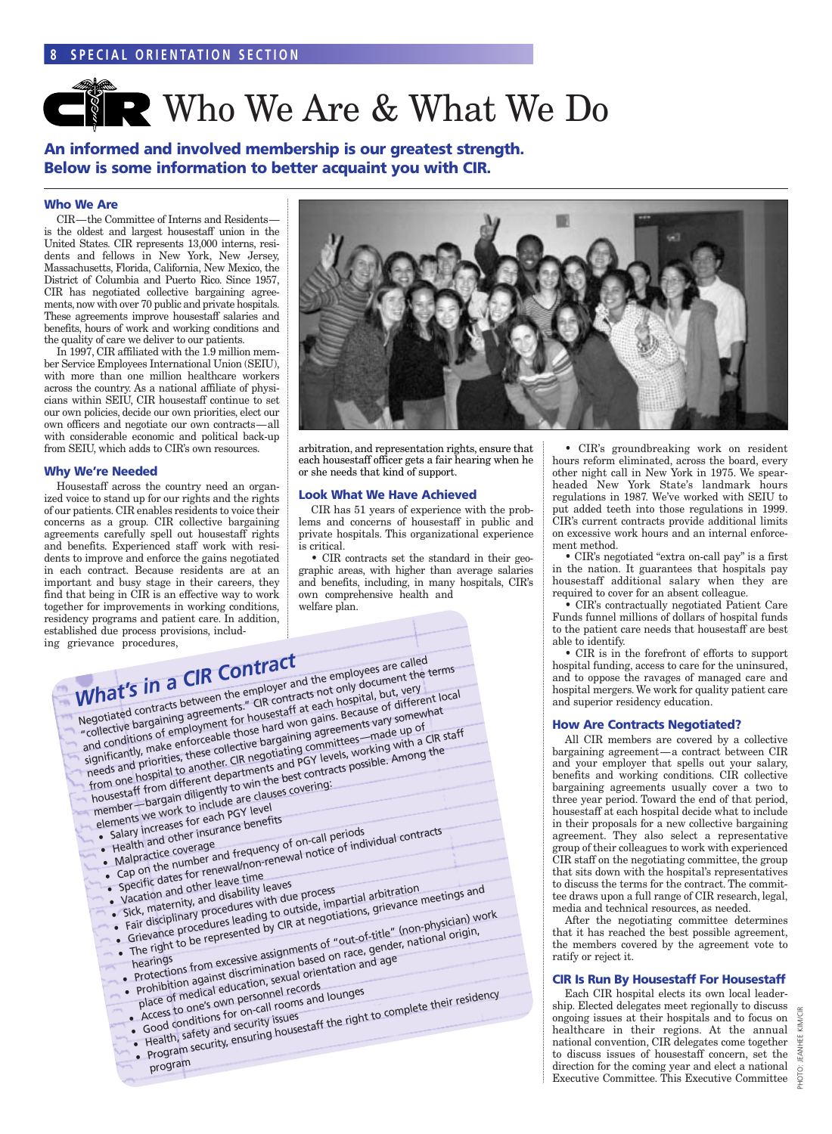# **CNR Who We Are & What We Do**

**An informed and involved membership is our greatest strength. Below is some information to better acquaint you with CIR.**

#### **Who We Are**

CIR—the Committee of Interns and Residents is the oldest and largest housestaff union in the United States. CIR represents 13,000 interns, residents and fellows in New York, New Jersey, Massachusetts, Florida, California, New Mexico, the District of Columbia and Puerto Rico. Since 1957, CIR has negotiated collective bargaining agreements, now with over 70 public and private hospitals. These agreements improve housestaff salaries and benefits, hours of work and working conditions and the quality of care we deliver to our patients.

In 1997, CIR affiliated with the 1.9 million member Service Employees International Union (SEIU), with more than one million healthcare workers across the country. As a national affiliate of physicians within SEIU, CIR housestaff continue to set our own policies, decide our own priorities, elect our own officers and negotiate our own contracts—all with considerable economic and political back-up from SEIU, which adds to CIR's own resources.

#### **Why We're Needed**

Housestaff across the country need an organized voice to stand up for our rights and the rights of our patients. CIR enables residents to voice their concerns as a group. CIR collective bargaining agreements carefully spell out housestaff rights and benefits. Experienced staff work with residents to improve and enforce the gains negotiated in each contract. Because residents are at an important and busy stage in their careers, they find that being in CIR is an effective way to work together for improvements in working conditions, residency programs and patient care. In addition, established due process provisions, including gr



arbitration, and representation rights, ensure that each housestaff officer gets a fair hearing when he or she needs that kind of support.

#### **Look What We Have Achieved**

CIR has 51 years of experience with the problems and concerns of housestaff in public and private hospitals. This organizational experience is critical.

• CIR contracts set the standard in their geographic areas, with higher than average salaries and benefits, including, in many hospitals, CIR's own comprehensive health and welfare plan.

| rievance procedures,<br>$\overline{\phantom{a}}$ | What's in a CIR Contract<br>elements we work to include are clauses covering:<br>• Salary increases for each PGY level<br>• Health and other insurance benefits<br>• Cap on the number and frequency of on-call periods.<br>• Malpractice coverage<br>• Vacation and other leave time<br>sick, maternity, and disability leaves<br>• Fair disciplinary procedures with due process |                                                                                            | Negotiated contracts between the employer and the employees are called<br>Inegulated Contracts between the contracts not only document the terms<br>and conditions of employment for housestaff at each hospital, but, very<br>significantly, make enforceable those hard won gains. Because of different local<br>meeds and priorities, these collective bargaining agreements vary somewhat<br>from one hospital to another. CIR negotiating committees—made up of<br>housestaff from different departments and PGY levels, working with a CIR staff<br>member—bargain diligently to win the best contracts possible. Among the<br>• Specific dates for renewal/non-renewal notice of individual contracts<br>• Grievance procedures leading to outside, impartial arbitration<br>• The right to be represented by CIR at negotiations, grievance meetings and<br>• Protections from excessive assignments of "out-of-title" (non-physician) work<br>• Prohibition against discrimination based on race, gender, national origin, |  |
|--------------------------------------------------|------------------------------------------------------------------------------------------------------------------------------------------------------------------------------------------------------------------------------------------------------------------------------------------------------------------------------------------------------------------------------------|--------------------------------------------------------------------------------------------|-------------------------------------------------------------------------------------------------------------------------------------------------------------------------------------------------------------------------------------------------------------------------------------------------------------------------------------------------------------------------------------------------------------------------------------------------------------------------------------------------------------------------------------------------------------------------------------------------------------------------------------------------------------------------------------------------------------------------------------------------------------------------------------------------------------------------------------------------------------------------------------------------------------------------------------------------------------------------------------------------------------------------------------|--|
| $\overline{\phantom{a}}$                         |                                                                                                                                                                                                                                                                                                                                                                                    | • Access to one's own personnel records<br>· Good conditions for on-call rooms and lounges | place of medical education, sexual orientation and age                                                                                                                                                                                                                                                                                                                                                                                                                                                                                                                                                                                                                                                                                                                                                                                                                                                                                                                                                                              |  |
|                                                  | program                                                                                                                                                                                                                                                                                                                                                                            | • Health, safety and security issues                                                       | • Program security, ensuring housestaff the right to complete their residency                                                                                                                                                                                                                                                                                                                                                                                                                                                                                                                                                                                                                                                                                                                                                                                                                                                                                                                                                       |  |

• CIR's groundbreaking work on resident hours reform eliminated, across the board, every other night call in New York in 1975. We spearheaded New York State's landmark hours regulations in 1987. We've worked with SEIU to put added teeth into those regulations in 1999. CIR's current contracts provide additional limits on excessive work hours and an internal enforcement method.

• CIR's negotiated "extra on-call pay" is a first in the nation. It guarantees that hospitals pay housestaff additional salary when they are required to cover for an absent colleague.

• CIR's contractually negotiated Patient Care Funds funnel millions of dollars of hospital funds to the patient care needs that housestaff are best able to identify.

• CIR is in the forefront of efforts to support hospital funding, access to care for the uninsured, and to oppose the ravages of managed care and hospital mergers. We work for quality patient care and superior residency education.

#### **How Are Contracts Negotiated?**

All CIR members are covered by a collective bargaining agreement—a contract between CIR and your employer that spells out your salary, benefits and working conditions. CIR collective bargaining agreements usually cover a two to three year period. Toward the end of that period, housestaff at each hospital decide what to include in their proposals for a new collective bargaining agreement. They also select a representative group of their colleagues to work with experienced CIR staff on the negotiating committee, the group that sits down with the hospital's representatives to discuss the terms for the contract. The committee draws upon a full range of CIR research, legal, media and technical resources, as needed.

After the negotiating committee determines that it has reached the best possible agreement, the members covered by the agreement vote to ratify or reject it.

#### **CIR Is Run By Housestaff For Housestaff**

Each CIR hospital elects its own local leadership. Elected delegates meet regionally to discuss ongoing issues at their hospitals and to focus on healthcare in their regions. At the annual national convention, CIR delegates come together to discuss issues of housestaff concern, set the direction for the coming year and elect a national Executive Committee. This Executive Committee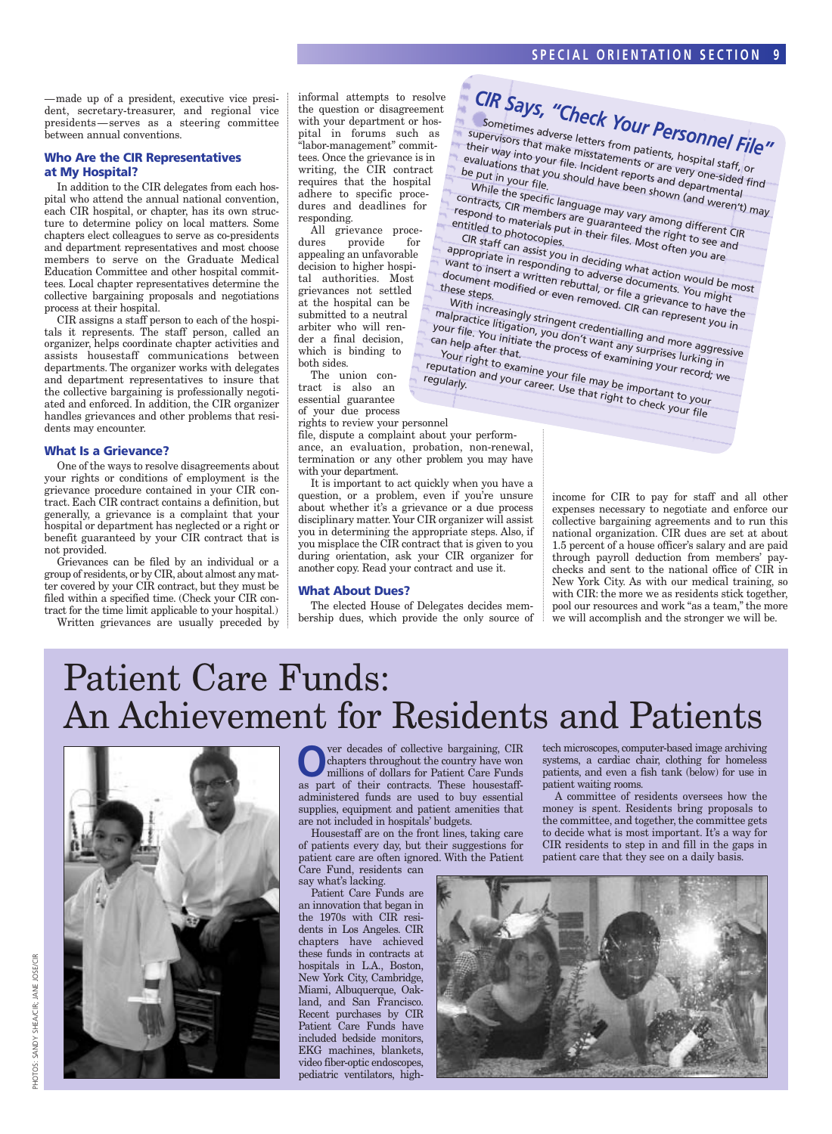—made up of a president, executive vice president, secretary-treasurer, and regional vice presidents—serves as a steering committee between annual conventions.

#### **Who Are the CIR Representatives at My Hospital?**

In addition to the CIR delegates from each hospital who attend the annual national convention, each CIR hospital, or chapter, has its own structure to determine policy on local matters. Some chapters elect colleagues to serve as co-presidents and department representatives and most choose members to serve on the Graduate Medical Education Committee and other hospital committees. Local chapter representatives determine the collective bargaining proposals and negotiations process at their hospital.

CIR assigns a staff person to each of the hospitals it represents. The staff person, called an organizer, helps coordinate chapter activities and assists housestaff communications between departments. The organizer works with delegates and department representatives to insure that the collective bargaining is professionally negotiated and enforced. In addition, the CIR organizer handles grievances and other problems that residents may encounter.

#### **What Is a Grievance?**

One of the ways to resolve disagreements about your rights or conditions of employment is the grievance procedure contained in your CIR contract. Each CIR contract contains a definition, but generally, a grievance is a complaint that your hospital or department has neglected or a right or benefit guaranteed by your CIR contract that is not provided.

Grievances can be filed by an individual or a group of residents, or by CIR, about almost any matter covered by your CIR contract, but they must be filed within a specified time. (Check your CIR contract for the time limit applicable to your hospital.)

Written grievances are usually preceded by

informal attempts to resolve the question or disagreement with your department or hospital in forums such as "labor-management" committees. Once the grievance is in writing, the CIR contract requires that the hospital adhere to specific procedures and deadlines for responding.

All grievance procedures provide for appealing an unfavorable decision to higher hospital authorities. Most grievances not settled at the hospital can be submitted to a neutral arbiter who will render a final decision, which is binding to both sides.

The union contract is also an essential guarantee of your due process

rights to review your personnel

file, dispute a complaint about your performance, an evaluation, probation, non-renewal, termination or any other problem you may have with your department.

It is important to act quickly when you have a question, or a problem, even if you're unsure about whether it's a grievance or a due process disciplinary matter. Your CIR organizer will assist you in determining the appropriate steps. Also, if you misplace the CIR contract that is given to you during orientation, ask your CIR organizer for another copy. Read your contract and use it.

#### **What About Dues?**

The elected House of Delegates decides membership dues, which provide the only source of



income for CIR to pay for staff and all other expenses necessary to negotiate and enforce our collective bargaining agreements and to run this national organization. CIR dues are set at about 1.5 percent of a house officer's salary and are paid through payroll deduction from members' paychecks and sent to the national office of CIR in New York City. As with our medical training, so with CIR: the more we as residents stick together, pool our resources and work "as a team," the more we will accomplish and the stronger we will be.

# Patient Care Funds: An Achievement for Residents and Patients



**O**ver decades of collective bargaining, CIR<br>chapters throughout the country have won<br>millions of dollars for Patient Care Funds chapters throughout the country have won millions of dollars for Patient Care Funds as part of their contracts. These housestaffadministered funds are used to buy essential supplies, equipment and patient amenities that are not included in hospitals' budgets.

Housestaff are on the front lines, taking care of patients every day, but their suggestions for patient care are often ignored. With the Patient Care Fund, residents can

say what's lacking.

Patient Care Funds are an innovation that began in the 1970s with CIR residents in Los Angeles. CIR chapters have achieved these funds in contracts at hospitals in L.A., Boston, New York City, Cambridge, Miami, Albuquerque, Oakland, and San Francisco. Recent purchases by CIR Patient Care Funds have included bedside monitors, EKG machines, blankets, video fiber-optic endoscopes, pediatric ventilators, high-

tech microscopes, computer-based image archiving systems, a cardiac chair, clothing for homeless patients, and even a fish tank (below) for use in patient waiting rooms.

A committee of residents oversees how the money is spent. Residents bring proposals to the committee, and together, the committee gets to decide what is most important. It's a way for CIR residents to step in and fill in the gaps in patient care that they see on a daily basis.

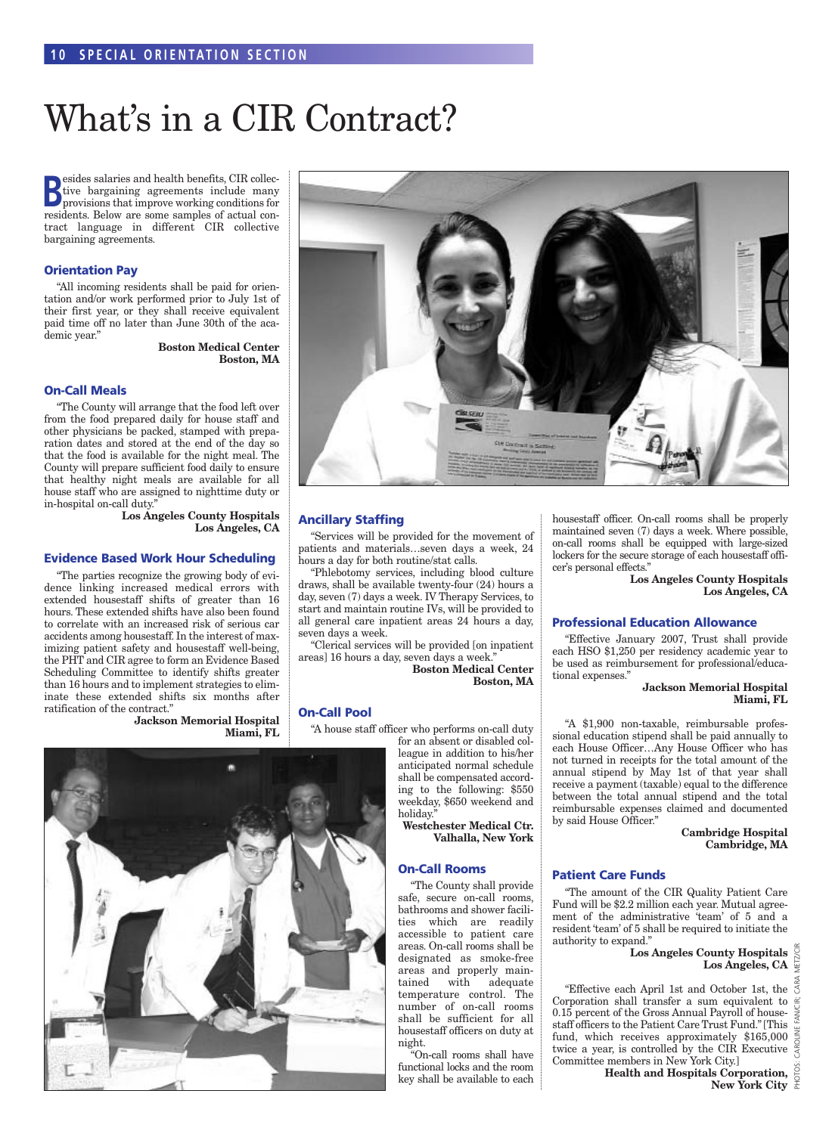# What's in a CIR Contract?

**B**esides salaries and health benefits, CIR collective bargaining agreements include many provisions that improve working conditions for **Examples** salaries and health benefits, CIR collective bargaining agreements include many residents. Below are some samples of actual contract language in different CIR collective bargaining agreements.

#### **Orientation Pay**

"All incoming residents shall be paid for orientation and/or work performed prior to July 1st of their first year, or they shall receive equivalent paid time off no later than June 30th of the academic year."

> **Boston Medical Center Boston, MA**

#### **On-Call Meals**

"The County will arrange that the food left over from the food prepared daily for house staff and other physicians be packed, stamped with preparation dates and stored at the end of the day so that the food is available for the night meal. The County will prepare sufficient food daily to ensure that healthy night meals are available for all house staff who are assigned to nighttime duty or in-hospital on-call duty."

> **Los Angeles County Hospitals Los Angeles, CA**

#### **Evidence Based Work Hour Scheduling**

"The parties recognize the growing body of evidence linking increased medical errors with extended housestaff shifts of greater than 16 hours. These extended shifts have also been found to correlate with an increased risk of serious car accidents among housestaff. In the interest of maximizing patient safety and housestaff well-being, the PHT and CIR agree to form an Evidence Based Scheduling Committee to identify shifts greater than 16 hours and to implement strategies to eliminate these extended shifts six months after ratification of the contract."

> **Jackson Memorial Hospital Miami, FL**



#### **Ancillary Staffing**

"Services will be provided for the movement of patients and materials…seven days a week, 24 hours a day for both routine/stat calls.

"Phlebotomy services, including blood culture draws, shall be available twenty-four (24) hours a day, seven (7) days a week. IV Therapy Services, to start and maintain routine IVs, will be provided to all general care inpatient areas 24 hours a day, seven days a week.

"Clerical services will be provided [on inpatient areas] 16 hours a day, seven days a week."

**Boston Medical Center Boston, MA**

#### **On-Call Pool**

"A house staff officer who performs on-call duty

for an absent or disabled colleague in addition to his/her anticipated normal schedule shall be compensated according to the following: \$550 weekday, \$650 weekend and holiday.

**Westchester Medical Ctr. Valhalla, New York**

#### **On-Call Rooms**

"The County shall provide safe, secure on-call rooms, bathrooms and shower facilities which are readily accessible to patient care areas. On-call rooms shall be designated as smoke-free areas and properly maintained with adequate temperature control. The number of on-call rooms shall be sufficient for all housestaff officers on duty at night.

"On-call rooms shall have functional locks and the room key shall be available to each housestaff officer. On-call rooms shall be properly maintained seven (7) days a week. Where possible, on-call rooms shall be equipped with large-sized lockers for the secure storage of each housestaff officer's personal effects."

> **Los Angeles County Hospitals Los Angeles, CA**

#### **Professional Education Allowance**

"Effective January 2007, Trust shall provide each HSO \$1,250 per residency academic year to be used as reimbursement for professional/educational expenses."

> **Jackson Memorial Hospital Miami, FL**

"A \$1,900 non-taxable, reimbursable professional education stipend shall be paid annually to each House Officer…Any House Officer who has not turned in receipts for the total amount of the annual stipend by May 1st of that year shall receive a payment (taxable) equal to the difference between the total annual stipend and the total reimbursable expenses claimed and documented by said House Officer."

> **Cambridge Hospital Cambridge, MA**

#### **Patient Care Funds**

"The amount of the CIR Quality Patient Care Fund will be \$2.2 million each year. Mutual agreement of the administrative 'team' of 5 and a resident 'team' of 5 shall be required to initiate the authority to expand."

> **Los Angeles County Hospitals Los Angeles, CA**

PHOTOS: CAROLINE FAN/CIR; CARA METZ/CIR

"Effective each April 1st and October 1st, the Corporation shall transfer a sum equivalent to 0.15 percent of the Gross Annual Payroll of housestaff officers to the Patient Care Trust Fund." [This fund, which receives approximately \$165,000 twice a year, is controlled by the CIR Executive Committee members in New York City.]

**Health and Hospitals Corporation, New York City**<br>**New York City** 

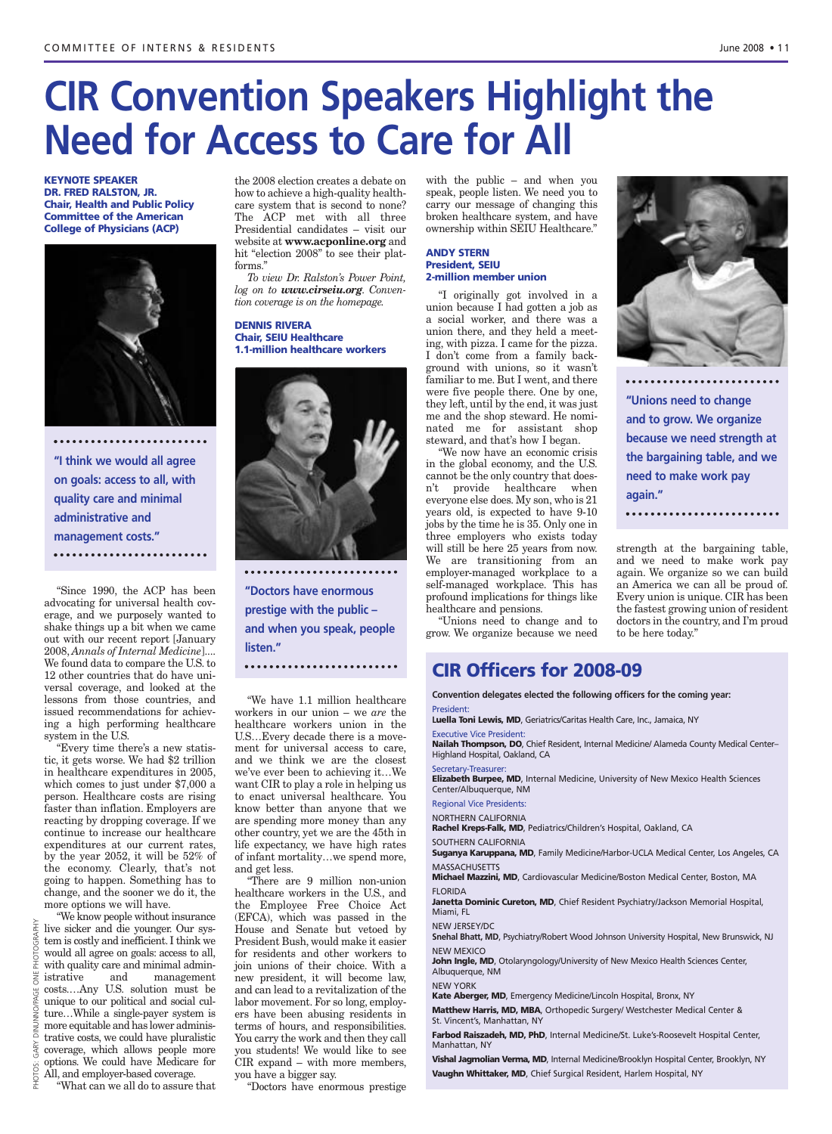**"Unions need to change and to grow. We organize because we need strength at the bargaining table, and we**

**need to make work pay**

strength at the bargaining table, and we need to make work pay again. We organize so we can build an America we can all be proud of. Every union is unique. CIR has been the fastest growing union of resident doctors in the country, and I'm proud

**again."**

to be here today."

# **CIR Convention Speakers Highlight the Need for Access to Care for All** CIR Convention Speakers Highlight the<br>Need for Access to Care for All<br>Disconcers to Care for All<br>Disconcers to 2008 • 1<br>Circonficers for 2008 • 1<br>Circonficers for 2008 • 1

**KEYNOTE SPEAKER DR. FRED RALSTON, JR. Chair, Health and Public Policy Committee of the American College of Physicians (ACP)**



**"I think we would all agree on goals: access to all, with quality care and minimal administrative and management costs."**

"Since 1990, the ACP has been advocating for universal health coverage, and we purposely wanted to shake things up a bit when we came out with our recent report [January 2008, *Annals of Internal Medicine*].... We found data to compare the U.S. to 12 other countries that do have universal coverage, and looked at the lessons from those countries, and issued recommendations for achieving a high performing healthcare system in the U.S.

"Every time there's a new statistic, it gets worse. We had \$2 trillion in healthcare expenditures in 2005, which comes to just under \$7,000 a person. Healthcare costs are rising faster than inflation. Employers are reacting by dropping coverage. If we continue to increase our healthcare expenditures at our current rates, by the year 2052, it will be 52% of the economy. Clearly, that's not going to happen. Something has to change, and the sooner we do it, the more options we will have.

"We know people without insurance live sicker and die younger. Our system is costly and inefficient. I think we would all agree on goals: access to all, with quality care and minimal administrative and management costs.…Any U.S. solution must be unique to our political and social culture…While a single-payer system is more equitable and has lower administrative costs, we could have pluralistic coverage, which allows people more options. We could have Medicare for All, and employer-based coverage.

"What can we all do to assure that

the 2008 election creates a debate on how to achieve a high-quality healthcare system that is second to none? The ACP met with all three Presidential candidates – visit our website at **www.acponline.org** and hit "election 2008" to see their platforms."

*To view Dr. Ralston's Power Point, log on to www.cirseiu.org. Convention coverage is on the homepage.*

#### **DENNIS RIVERA Chair, SEIU Healthcare 1.1-million healthcare workers**



**"Doctors have enormous prestige with the public – and when you speak, people listen."**

"We have 1.1 million healthcare workers in our union – we *are* the healthcare workers union in the U.S…Every decade there is a movement for universal access to care, and we think we are the closest we've ever been to achieving it…We want CIR to play a role in helping us to enact universal healthcare. You know better than anyone that we are spending more money than any other country, yet we are the 45th in life expectancy, we have high rates of infant mortality…we spend more, and get less.

"There are 9 million non-union healthcare workers in the U.S., and the Employee Free Choice Act (EFCA), which was passed in the House and Senate but vetoed by President Bush, would make it easier for residents and other workers to join unions of their choice. With a new president, it will become law, and can lead to a revitalization of the labor movement. For so long, employers have been abusing residents in terms of hours, and responsibilities. You carry the work and then they call you students! We would like to see CIR expand – with more members, you have a bigger say.

"Doctors have enormous prestige

with the public – and when you speak, people listen. We need you to carry our message of changing this broken healthcare system, and have ownership within SEIU Healthcare."

#### **ANDY STERN President, SEIU 2-million member union**

"I originally got involved in a union because I had gotten a job as a social worker, and there was a union there, and they held a meeting, with pizza. I came for the pizza. I don't come from a family background with unions, so it wasn't familiar to me. But I went, and there were five people there. One by one, they left, until by the end, it was just me and the shop steward. He nominated me for assistant shop steward, and that's how I began.

"We now have an economic crisis in the global economy, and the U.S. cannot be the only country that doesn't provide healthcare when everyone else does. My son, who is 21 years old, is expected to have 9-10 jobs by the time he is 35. Only one in three employers who exists today will still be here 25 years from now. We are transitioning from an employer-managed workplace to a self-managed workplace. This has profound implications for things like healthcare and pensions.

"Unions need to change and to grow. We organize because we need

#### **CIR Officers for 2008-09**

**Convention delegates elected the following officers for the coming year:** President:

**Luella Toni Lewis, MD**, Geriatrics/Caritas Health Care, Inc., Jamaica, NY

Executive Vice President: **Nailah Thompson, DO**, Chief Resident, Internal Medicine/ Alameda County Medical Center–

Highland Hospital, Oakland, CA Secretary-Treasurer:

**Elizabeth Burpee, MD**, Internal Medicine, University of New Mexico Health Sciences Center/Albuquerque, NM

#### Regional Vice Presidents:

NORTHERN CALIFORNIA

**Rachel Kreps-Falk, MD**, Pediatrics/Children's Hospital, Oakland, CA SOUTHERN CALIFORNIA

**Suganya Karuppana, MD**, Family Medicine/Harbor-UCLA Medical Center, Los Angeles, CA MASSACHUSETTS

**Michael Mazzini, MD**, Cardiovascular Medicine/Boston Medical Center, Boston, MA FLORIDA

**Janetta Dominic Cureton, MD**, Chief Resident Psychiatry/Jackson Memorial Hospital, Miami, FL

NEW JERSEY/DC

**Snehal Bhatt, MD**, Psychiatry/Robert Wood Johnson University Hospital, New Brunswick, NJ NEW MEXICO

John Ingle, MD, Otolaryngology/University of New Mexico Health Sciences Center, Albuquerque, NM

NEW YORK

**Kate Aberger, MD**, Emergency Medicine/Lincoln Hospital, Bronx, NY

**Matthew Harris, MD, MBA**, Orthopedic Surgery/ Westchester Medical Center & St. Vincent's, Manhattan, NY

**Farbod Raiszadeh, MD, PhD**, Internal Medicine/St. Luke's-Roosevelt Hospital Center, Manhattan, NY

**Vishal Jagmolian Verma, MD**, Internal Medicine/Brooklyn Hospital Center, Brooklyn, NY **Vaughn Whittaker, MD**, Chief Surgical Resident, Harlem Hospital, NY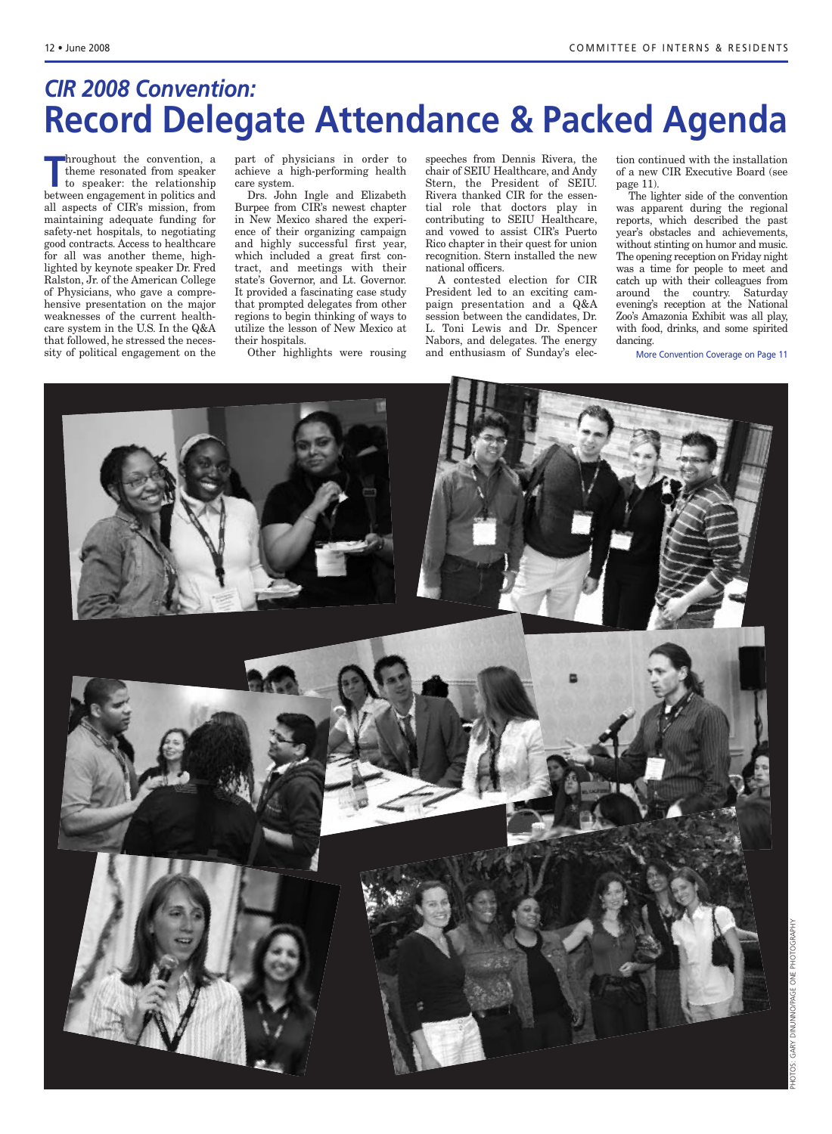## *CIR 2008 Convention:* **Record Delegate Attendance & Packed Agenda**

**Throughout the convention, a**<br>
theme resonated from speaker<br>
to speaker: the relationship<br>
between engagement in politics and hroughout the convention, a theme resonated from speaker to speaker: the relationship all aspects of CIR's mission, from maintaining adequate funding for safety-net hospitals, to negotiating good contracts. Access to healthcare for all was another theme, highlighted by keynote speaker Dr. Fred Ralston, Jr. of the American College of Physicians, who gave a comprehensive presentation on the major weaknesses of the current healthcare system in the U.S. In the Q&A that followed, he stressed the necessity of political engagement on the

part of physicians in order to achieve a high-performing health care system.

Drs. John Ingle and Elizabeth Burpee from CIR's newest chapter in New Mexico shared the experience of their organizing campaign and highly successful first year, which included a great first contract, and meetings with their state's Governor, and Lt. Governor. It provided a fascinating case study that prompted delegates from other regions to begin thinking of ways to utilize the lesson of New Mexico at their hospitals.

Other highlights were rousing

speeches from Dennis Rivera, the chair of SEIU Healthcare, and Andy Stern, the President of SEIU. Rivera thanked CIR for the essential role that doctors play in contributing to SEIU Healthcare, and vowed to assist CIR's Puerto Rico chapter in their quest for union recognition. Stern installed the new national officers.

A contested election for CIR President led to an exciting campaign presentation and a Q&A session between the candidates, Dr. L. Toni Lewis and Dr. Spencer Nabors, and delegates. The energy and enthusiasm of Sunday's elec- More Convention Coverage on Page 11

tion continued with the installation of a new CIR Executive Board (see page 11).

The lighter side of the convention was apparent during the regional reports, which described the past year's obstacles and achievements, without stinting on humor and music. The opening reception on Friday night was a time for people to meet and catch up with their colleagues from around the country. Saturday evening's reception at the National Zoo's Amazonia Exhibit was all play, with food, drinks, and some spirited dancing.

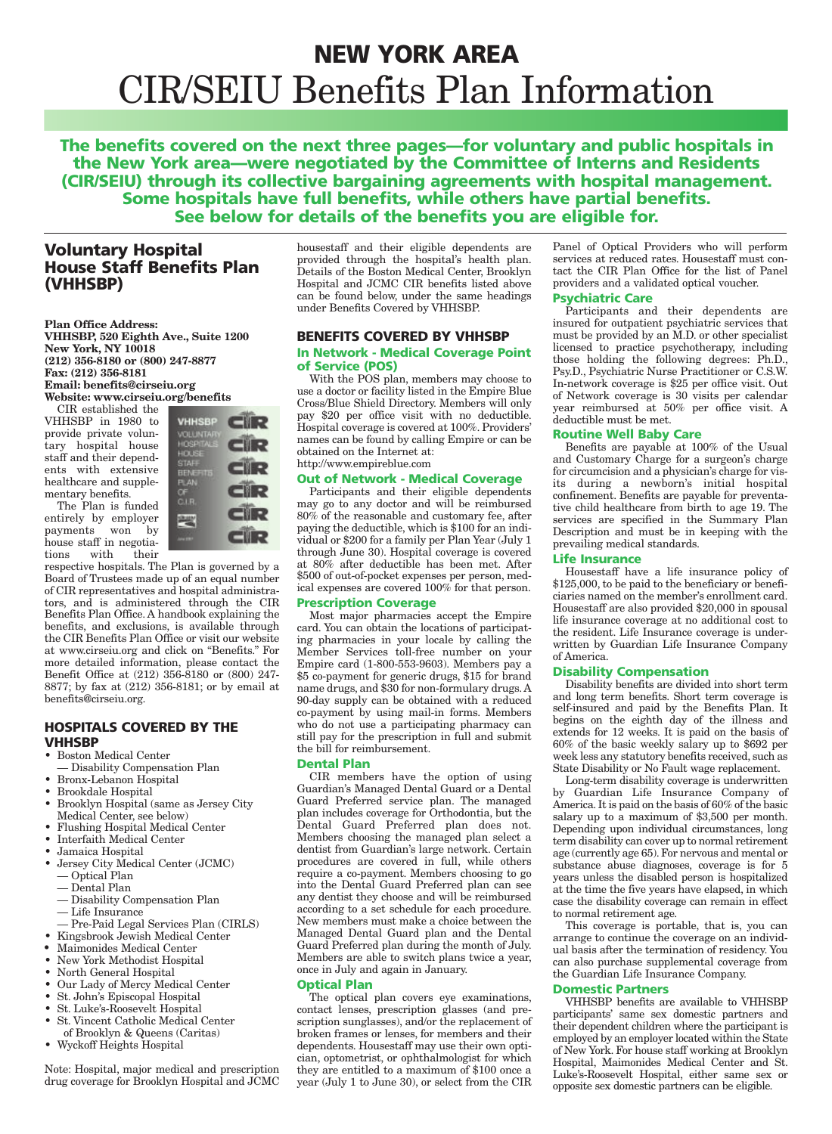## **NEW YORK AREA** CIR/SEIU Benefits Plan Information

**The benefits covered on the next three pages—for voluntary and public hospitals in the New York area—were negotiated by the Committee of Interns and Residents (CIR/SEIU) through its collective bargaining agreements with hospital management. Some hospitals have full benefits, while others have partial benefits. See below for details of the benefits you are eligible for.**

#### **Voluntary Hospital House Staff Benefits Plan (VHHSBP)**

**Plan Office Address: VHHSBP, 520 Eighth Ave., Suite 1200 New York, NY 10018 (212) 356-8180 or (800) 247-8877 Fax: (212) 356-8181 Email: benefits@cirseiu.org Website: www.cirseiu.org/benefits**

CIR established the VHHSBP in 1980 to provide private voluntary hospital house staff and their dependents with extensive healthcare and supplementary benefits.

The Plan is funded entirely by employer payments won by house staff in negotiations with their



respective hospitals. The Plan is governed by a Board of Trustees made up of an equal number of CIR representatives and hospital administrators, and is administered through the CIR Benefits Plan Office. A handbook explaining the benefits, and exclusions, is available through the CIR Benefits Plan Office or visit our website at www.cirseiu.org and click on "Benefits." For more detailed information, please contact the Benefit Office at (212) 356-8180 or (800) 247- 8877; by fax at (212) 356-8181; or by email at benefits@cirseiu.org.

#### **HOSPITALS COVERED BY THE VHHSBP**

- Boston Medical Center
- Disability Compensation Plan
- Bronx-Lebanon Hospital
- Brookdale Hospital
- Brooklyn Hospital (same as Jersey City Medical Center, see below)
- Flushing Hospital Medical Center
- Interfaith Medical Center
- Jamaica Hospital
- Jersey City Medical Center (JCMC) — Optical Plan
- Dental Plan
- Disability Compensation Plan
- Life Insurance
- Pre-Paid Legal Services Plan (CIRLS)
- Kingsbrook Jewish Medical Center
- Maimonides Medical Center
- New York Methodist Hospital
- North General Hospital
- Our Lady of Mercy Medical Center
- St. John's Episcopal Hospital • St. Luke's-Roosevelt Hospital
- St. Vincent Catholic Medical Center
- of Brooklyn & Queens (Caritas)
- Wyckoff Heights Hospital

Note: Hospital, major medical and prescription drug coverage for Brooklyn Hospital and JCMC housestaff and their eligible dependents are provided through the hospital's health plan. Details of the Boston Medical Center, Brooklyn Hospital and JCMC CIR benefits listed above can be found below, under the same headings under Benefits Covered by VHHSBP.

#### **BENEFITS COVERED BY VHHSBP**

#### **In Network - Medical Coverage Point of Service (POS)**

With the POS plan, members may choose to use a doctor or facility listed in the Empire Blue Cross/Blue Shield Directory. Members will only pay \$20 per office visit with no deductible. Hospital coverage is covered at 100%. Providers' names can be found by calling Empire or can be obtained on the Internet at:

#### http://www.empireblue.com

#### **Out of Network - Medical Coverage**

Participants and their eligible dependents may go to any doctor and will be reimbursed 80% of the reasonable and customary fee, after paying the deductible, which is \$100 for an individual or \$200 for a family per Plan Year (July 1 through June 30). Hospital coverage is covered at 80% after deductible has been met. After \$500 of out-of-pocket expenses per person, medical expenses are covered 100% for that person.

#### **Prescription Coverage**

Most major pharmacies accept the Empire card. You can obtain the locations of participating pharmacies in your locale by calling the Member Services toll-free number on your Empire card (1-800-553-9603). Members pay a \$5 co-payment for generic drugs, \$15 for brand name drugs, and \$30 for non-formulary drugs. A 90-day supply can be obtained with a reduced co-payment by using mail-in forms. Members who do not use a participating pharmacy can still pay for the prescription in full and submit the bill for reimbursement.

#### **Dental Plan**

CIR members have the option of using Guardian's Managed Dental Guard or a Dental Guard Preferred service plan. The managed plan includes coverage for Orthodontia, but the Dental Guard Preferred plan does not. Members choosing the managed plan select a dentist from Guardian's large network. Certain procedures are covered in full, while others require a co-payment. Members choosing to go into the Dental Guard Preferred plan can see any dentist they choose and will be reimbursed according to a set schedule for each procedure. New members must make a choice between the Managed Dental Guard plan and the Dental Guard Preferred plan during the month of July. Members are able to switch plans twice a year, once in July and again in January.

#### **Optical Plan**

The optical plan covers eye examinations, contact lenses, prescription glasses (and prescription sunglasses), and/or the replacement of broken frames or lenses, for members and their dependents. Housestaff may use their own optician, optometrist, or ophthalmologist for which they are entitled to a maximum of \$100 once a year (July 1 to June 30), or select from the CIR Panel of Optical Providers who will perform services at reduced rates. Housestaff must contact the CIR Plan Office for the list of Panel providers and a validated optical voucher.

#### **Psychiatric Care**

Participants and their dependents are insured for outpatient psychiatric services that must be provided by an M.D. or other specialist licensed to practice psychotherapy, including those holding the following degrees: Ph.D., Psy.D., Psychiatric Nurse Practitioner or C.S.W. In-network coverage is \$25 per office visit. Out of Network coverage is 30 visits per calendar year reimbursed at 50% per office visit. A deductible must be met.

#### **Routine Well Baby Care**

Benefits are payable at 100% of the Usual and Customary Charge for a surgeon's charge for circumcision and a physician's charge for visits during a newborn's initial hospital confinement. Benefits are payable for preventative child healthcare from birth to age 19. The services are specified in the Summary Plan Description and must be in keeping with the prevailing medical standards.

#### **Life Insurance**

Housestaff have a life insurance policy of \$125,000, to be paid to the beneficiary or beneficiaries named on the member's enrollment card. Housestaff are also provided \$20,000 in spousal life insurance coverage at no additional cost to the resident. Life Insurance coverage is underwritten by Guardian Life Insurance Company of America.

#### **Disability Compensation**

Disability benefits are divided into short term and long term benefits. Short term coverage is self-insured and paid by the Benefits Plan. It begins on the eighth day of the illness and extends for 12 weeks. It is paid on the basis of 60% of the basic weekly salary up to \$692 per week less any statutory benefits received, such as State Disability or No Fault wage replacement.

Long-term disability coverage is underwritten by Guardian Life Insurance Company of America. It is paid on the basis of 60% of the basic salary up to a maximum of \$3,500 per month. Depending upon individual circumstances, long term disability can cover up to normal retirement age (currently age 65).For nervous and mental or substance abuse diagnoses, coverage is for 5 years unless the disabled person is hospitalized at the time the five years have elapsed, in which case the disability coverage can remain in effect to normal retirement age.

This coverage is portable, that is, you can arrange to continue the coverage on an individual basis after the termination of residency. You can also purchase supplemental coverage from the Guardian Life Insurance Company.

#### **Domestic Partners**

VHHSBP benefits are available to VHHSBP participants' same sex domestic partners and their dependent children where the participant is employed by an employer located within the State of New York. For house staff working at Brooklyn Hospital, Maimonides Medical Center and St. Luke's-Roosevelt Hospital, either same sex or opposite sex domestic partners can be eligible.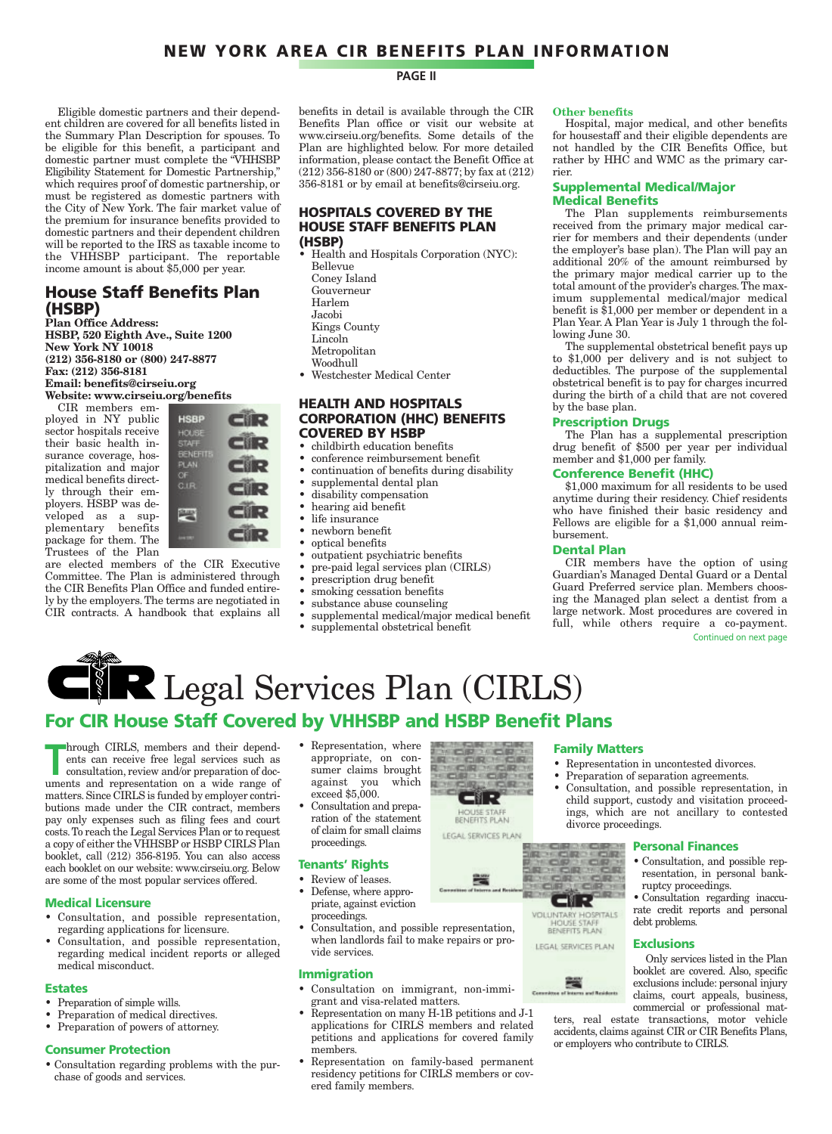#### **NEW YORK AREA CIR BENEFITS PLAN INFORMATION**

Eligible domestic partners and their dependent children are covered for all benefits listed in the Summary Plan Description for spouses. To be eligible for this benefit, a participant and domestic partner must complete the "VHHSBP Eligibility Statement for Domestic Partnership," which requires proof of domestic partnership, or must be registered as domestic partners with the City of New York. The fair market value of the premium for insurance benefits provided to domestic partners and their dependent children will be reported to the IRS as taxable income to the VHHSBP participant. The reportable income amount is about \$5,000 per year.

#### **House Staff Benefits Plan (HSBP)**

**Plan Office Address: HSBP, 520 Eighth Ave., Suite 1200 New York NY 10018 (212) 356-8180 or (800) 247-8877 Fax: (212) 356-8181 Email: benefits@cirseiu.org Website: www.cirseiu.org/benefits** CIR members em-

ployed in NY public sector hospitals receive their basic health insurance coverage, hospitalization and major medical benefits directly through their employers. HSBP was developed as a supplementary benefits package for them. The Trustees of the Plan



are elected members of the CIR Executive Committee. The Plan is administered through the CIR Benefits Plan Office and funded entirely by the employers. The terms are negotiated in CIR contracts. A handbook that explains all

#### **PAGE II**

benefits in detail is available through the CIR Benefits Plan office or visit our website at www.cirseiu.org/benefits. Some details of the Plan are highlighted below. For more detailed information, please contact the Benefit Office at (212) 356-8180 or (800) 247-8877; by fax at (212) 356-8181 or by email at benefits@cirseiu.org.

#### **HOSPITALS COVERED BY THE HOUSE STAFF BENEFITS PLAN (HSBP)**

• Health and Hospitals Corporation (NYC):

- Bellevue Coney Island
- Gouverneur
- Harlem
- Jacobi
- Kings County
- Lincoln
- Metropolitan Woodhull
- Westchester Medical Center

#### **HEALTH AND HOSPITALS CORPORATION (HHC) BENEFITS COVERED BY HSBP**

- childbirth education benefits
- conference reimbursement benefit
- continuation of benefits during disability
- supplemental dental plan
- disability compensation
- hearing aid benefit
- life insurance
- newborn benefit
- optical benefits
- outpatient psychiatric benefits
- pre-paid legal services plan (CIRLS)
- prescription drug benefit
- smoking cessation benefits
- substance abuse counseling
- supplemental medical/major medical benefit
- supplemental obstetrical benefit

#### **Other benefits**

Hospital, major medical, and other benefits for housestaff and their eligible dependents are not handled by the CIR Benefits Office, but rather by HHC and WMC as the primary carrier.

#### **Supplemental Medical/Major Medical Benefits**

The Plan supplements reimbursements received from the primary major medical carrier for members and their dependents (under the employer's base plan). The Plan will pay an additional 20% of the amount reimbursed by the primary major medical carrier up to the total amount of the provider's charges. The maximum supplemental medical/major medical benefit is \$1,000 per member or dependent in a Plan Year. A Plan Year is July 1 through the following June 30.

The supplemental obstetrical benefit pays up to \$1,000 per delivery and is not subject to deductibles. The purpose of the supplemental obstetrical benefit is to pay for charges incurred during the birth of a child that are not covered by the base plan.

#### **Prescription Drugs**

The Plan has a supplemental prescription drug benefit of \$500 per year per individual member and \$1,000 per family.

#### **Conference Benefit (HHC)**

\$1,000 maximum for all residents to be used anytime during their residency. Chief residents who have finished their basic residency and Fellows are eligible for a \$1,000 annual reimbursement.

#### **Dental Plan**

CIR members have the option of using Guardian's Managed Dental Guard or a Dental Guard Preferred service plan. Members choosing the Managed plan select a dentist from a large network. Most procedures are covered in full, while others require a co-payment. Continued on next page

# **CHR Legal Services Plan (CIRLS)**

#### **For CIR House Staff Covered by VHHSBP and HSBP Benefit Plans**

hrough CIRLS, members and their dependents can receive free legal services such as consultation, review and/or preparation of documents and representation on a wide range of hrough CIRLS, members and their dependents can receive free legal services such as consultation, review and/or preparation of docmatters. Since CIRLS is funded by employer contributions made under the CIR contract, members pay only expenses such as filing fees and court costs.To reach the Legal Services Plan or to request a copy of either the VHHSBP or HSBP CIRLS Plan booklet, call (212) 356-8195. You can also access each booklet on our website: www.cirseiu.org. Below are some of the most popular services offered.

#### **Medical Licensure**

- Consultation, and possible representation, regarding applications for licensure.
- Consultation, and possible representation regarding medical incident reports or alleged medical misconduct.

#### **Estates**

- Preparation of simple wills.
- Preparation of medical directives.
- Preparation of powers of attorney.

#### **Consumer Protection**

• Consultation regarding problems with the purchase of goods and services.

- Representation, where appropriate, on consumer claims brought against you which exceed \$5,000.
- Consultation and preparation of the statement of claim for small claims proceedings.

#### **Tenants' Rights**

- Review of leases. • Defense, where appro-
- priate, against eviction proceedings.
- Consultation, and possible representation, when landlords fail to make repairs or provide services.

#### **Immigration**

- Consultation on immigrant, non-immigrant and visa-related matters.
- Representation on many H-1B petitions and J-1 applications for CIRLS members and related petitions and applications for covered family members.
- Representation on family-based permanent residency petitions for CIRLS members or covered family members.

#### **Family Matters**

- Representation in uncontested divorces.
- Preparation of separation agreements.
- Consultation, and possible representation, in child support, custody and visitation proceedings, which are not ancillary to contested divorce proceedings.

#### **Personal Finances**

• Consultation, and possible representation, in personal bankruptcy proceedings.

• Consultation regarding inaccurate credit reports and personal debt problems.

#### **Exclusions**

Only services listed in the Plan booklet are covered. Also, specific exclusions include: personal injury claims, court appeals, business, commercial or professional mat-

ters, real estate transactions, motor vehicle accidents, claims against CIR or CIR Benefits Plans, or employers who contribute to CIRLS.



HOUSE STAFF LEGAL SERVICES PLAN

₩



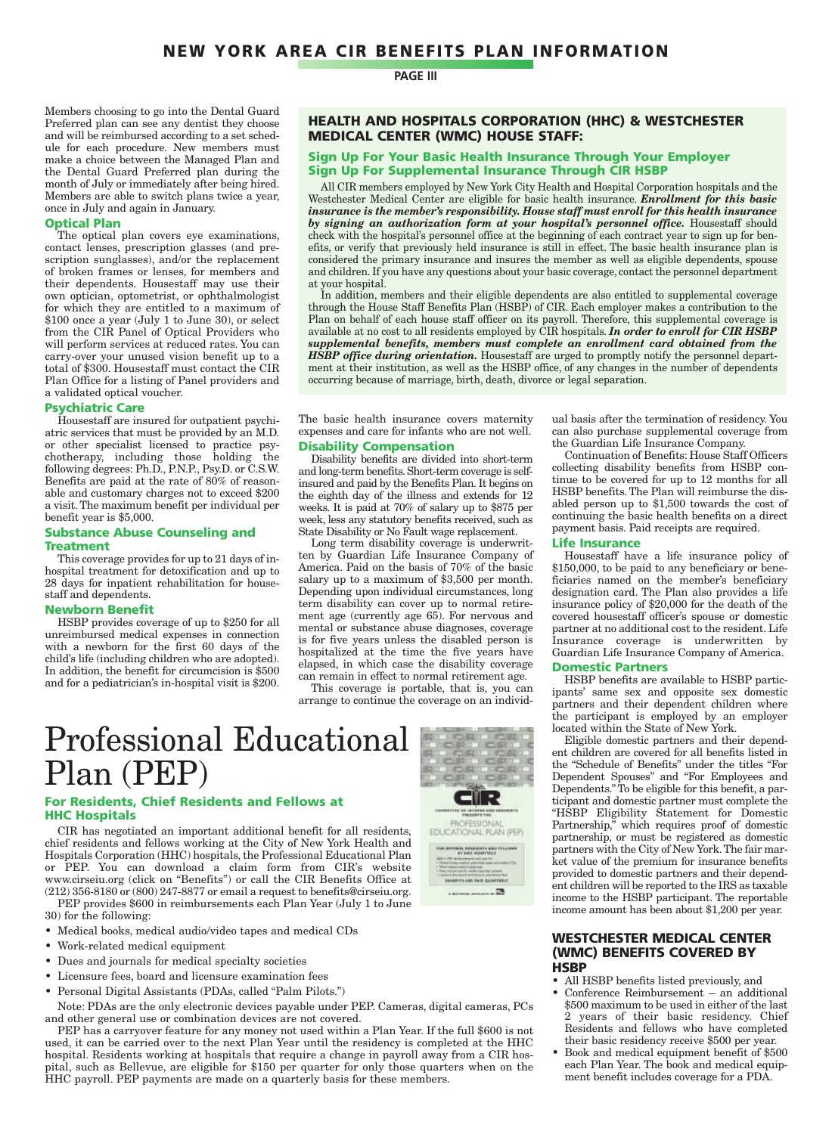Members choosing to go into the Dental Guard Preferred plan can see any dentist they choose and will be reimbursed according to a set schedule for each procedure. New members must make a choice between the Managed Plan and the Dental Guard Preferred plan during the month of July or immediately after being hired. Members are able to switch plans twice a year, once in July and again in January.

#### **Optical Plan**

The optical plan covers eye examinations, contact lenses, prescription glasses (and prescription sunglasses), and/or the replacement of broken frames or lenses, for members and their dependents. Housestaff may use their own optician, optometrist, or ophthalmologist for which they are entitled to a maximum of \$100 once a year (July 1 to June 30), or select from the CIR Panel of Optical Providers who will perform services at reduced rates. You can carry-over your unused vision benefit up to a total of \$300. Housestaff must contact the CIR Plan Office for a listing of Panel providers and a validated optical voucher.

#### **Psychiatric Care**

Housestaff are insured for outpatient psychiatric services that must be provided by an M.D. or other specialist licensed to practice psychotherapy, including those holding the following degrees: Ph.D., P.N.P., Psy.D. or C.S.W. Benefits are paid at the rate of 80% of reasonable and customary charges not to exceed \$200 a visit.The maximum benefit per individual per benefit year is \$5,000.

#### **Substance Abuse Counseling and Treatment**

This coverage provides for up to 21 days of inhospital treatment for detoxification and up to 28 days for inpatient rehabilitation for housestaff and dependents.

#### **Newborn Benefit**

HSBP provides coverage of up to \$250 for all unreimbursed medical expenses in connection with a newborn for the first 60 days of the child's life (including children who are adopted). In addition, the benefit for circumcision is \$500 and for a pediatrician's in-hospital visit is \$200.

#### **PAGE III**

#### **HEALTH AND HOSPITALS CORPORATION (HHC) & WESTCHESTER MEDICAL CENTER (WMC) HOUSE STAFF:**

#### **Sign Up For Your Basic Health Insurance Through Your Employer Sign Up For Supplemental Insurance Through CIR HSBP**

All CIR members employed by New York City Health and Hospital Corporation hospitals and the Westchester Medical Center are eligible for basic health insurance. *Enrollment for this basic insurance is the member's responsibility. House staff must enroll for this health insurance by signing an authorization form at your hospital's personnel office.* Housestaff should check with the hospital's personnel office at the beginning of each contract year to sign up for benefits, or verify that previously held insurance is still in effect. The basic health insurance plan is considered the primary insurance and insures the member as well as eligible dependents, spouse and children. If you have any questions about your basic coverage, contact the personnel department at your hospital.

In addition, members and their eligible dependents are also entitled to supplemental coverage through the House Staff Benefits Plan (HSBP) of CIR. Each employer makes a contribution to the Plan on behalf of each house staff officer on its payroll. Therefore, this supplemental coverage is available at no cost to all residents employed by CIR hospitals. *In order to enroll for CIR HSBP supplemental benefits, members must complete an enrollment card obtained from the HSBP office during orientation*. Housestaff are urged to promptly notify the personnel department at their institution, as well as the HSBP office, of any changes in the number of dependents occurring because of marriage, birth, death, divorce or legal separation.

The basic health insurance covers maternity expenses and care for infants who are not well.

#### **Disability Compensation**

Disability benefits are divided into short-term and long-term benefits.Short-term coverage is selfinsured and paid by the Benefits Plan. It begins on the eighth day of the illness and extends for 12 weeks. It is paid at 70% of salary up to \$875 per week, less any statutory benefits received, such as State Disability or No Fault wage replacement.

Long term disability coverage is underwritten by Guardian Life Insurance Company of America. Paid on the basis of 70% of the basic salary up to a maximum of \$3,500 per month. Depending upon individual circumstances, long term disability can cover up to normal retirement age (currently age 65). For nervous and mental or substance abuse diagnoses, coverage is for five years unless the disabled person is hospitalized at the time the five years have elapsed, in which case the disability coverage can remain in effect to normal retirement age.

This coverage is portable, that is, you can arrange to continue the coverage on an individ-

## Professional Educational Plan (PEP)

#### **For Residents, Chief Residents and Fellows at HHC Hospitals**

CIR has negotiated an important additional benefit for all residents, chief residents and fellows working at the City of New York Health and Hospitals Corporation (HHC) hospitals, the Professional Educational Plan or PEP. You can download a claim form from CIR's website www.cirseiu.org (click on "Benefits") or call the CIR Benefits Office at (212) 356-8180 or (800) 247-8877 or email a request to benefits@cirseiu.org.

PEP provides \$600 in reimbursements each Plan Year (July 1 to June 30) for the following:

- Medical books, medical audio/video tapes and medical CDs
- Work-related medical equipment
- Dues and journals for medical specialty societies
- Licensure fees, board and licensure examination fees
- Personal Digital Assistants (PDAs, called "Palm Pilots.")
- Note: PDAs are the only electronic devices payable under PEP. Cameras, digital cameras, PCs and other general use or combination devices are not covered.

PEP has a carryover feature for any money not used within a Plan Year. If the full \$600 is not used, it can be carried over to the next Plan Year until the residency is completed at the HHC hospital. Residents working at hospitals that require a change in payroll away from a CIR hospital, such as Bellevue, are eligible for \$150 per quarter for only those quarters when on the HHC payroll. PEP payments are made on a quarterly basis for these members.



ual basis after the termination of residency. You can also purchase supplemental coverage from the Guardian Life Insurance Company.

Continuation of Benefits: House Staff Officers collecting disability benefits from HSBP continue to be covered for up to 12 months for all HSBP benefits. The Plan will reimburse the disabled person up to \$1,500 towards the cost of continuing the basic health benefits on a direct payment basis. Paid receipts are required.

#### **Life Insurance**

Housestaff have a life insurance policy of \$150,000, to be paid to any beneficiary or beneficiaries named on the member's beneficiary designation card. The Plan also provides a life insurance policy of \$20,000 for the death of the covered housestaff officer's spouse or domestic partner at no additional cost to the resident. Life Insurance coverage is underwritten by Guardian Life Insurance Company of America.

#### **Domestic Partners**

HSBP benefits are available to HSBP participants' same sex and opposite sex domestic partners and their dependent children where the participant is employed by an employer located within the State of New York.

Eligible domestic partners and their dependent children are covered for all benefits listed in the "Schedule of Benefits" under the titles "For Dependent Spouses" and "For Employees and Dependents." To be eligible for this benefit, a participant and domestic partner must complete the "HSBP Eligibility Statement for Domestic Partnership," which requires proof of domestic partnership, or must be registered as domestic partners with the City of New York.The fair market value of the premium for insurance benefits provided to domestic partners and their dependent children will be reported to the IRS as taxable income to the HSBP participant. The reportable income amount has been about \$1,200 per year.

#### **WESTCHESTER MEDICAL CENTER (WMC) BENEFITS COVERED BY HSBP**

- All HSBP benefits listed previously, and
- Conference Reimbursement an additional \$500 maximum to be used in either of the last 2 years of their basic residency. Chief Residents and fellows who have completed their basic residency receive \$500 per year.
- Book and medical equipment benefit of \$500 each Plan Year. The book and medical equipment benefit includes coverage for a PDA.